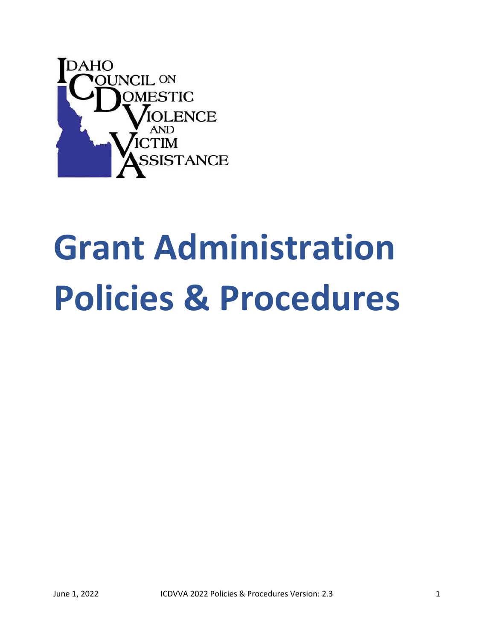

# Grant Administration Policies & Procedures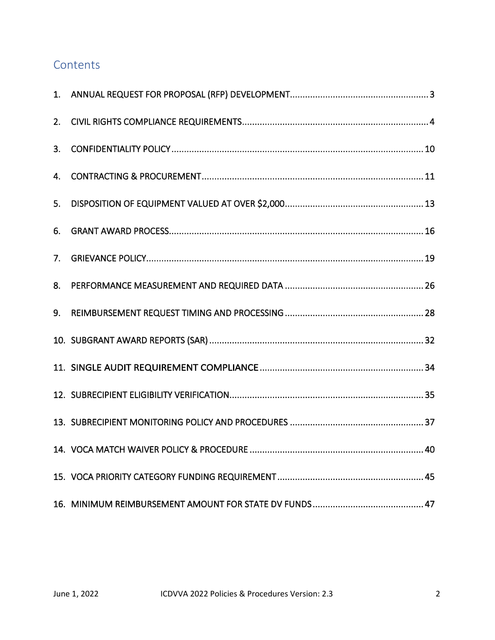# **Contents**

| 5. |  |
|----|--|
| 6. |  |
|    |  |
| 8. |  |
| 9. |  |
|    |  |
|    |  |
|    |  |
|    |  |
|    |  |
|    |  |
|    |  |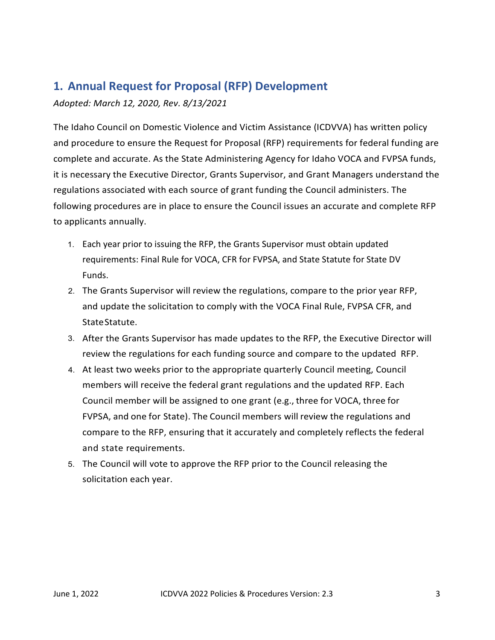# 1. Annual Request for Proposal (RFP) Development

Adopted: March 12, 2020, Rev. 8/13/2021

The Idaho Council on Domestic Violence and Victim Assistance (ICDVVA) has written policy and procedure to ensure the Request for Proposal (RFP) requirements for federal funding are complete and accurate. As the State Administering Agency for Idaho VOCA and FVPSA funds, **1. Annual Request for Proposal (RFP) Development**<br>Adopted: March 12, 2020, Rev. 8/13/2021<br>The Idaho Council on Domestic Violence and Victim Assistance (ICDVVA) has written policy<br>and procedure to ensure the Request for Pr regulations associated with each source of grant funding the Council administers. The following procedures are in place to ensure the Council issues an accurate and complete RFP to applicants annually.

- 1. Each year prior to issuing the RFP, the Grants Supervisor must obtain updated requirements: Final Rule for VOCA, CFR for FVPSA, and State Statute for State DV Funds.
- 2. The Grants Supervisor will review the regulations, compare to the prior year RFP, and update the solicitation to comply with the VOCA Final Rule, FVPSA CFR, and State Statute.
- 3. After the Grants Supervisor has made updates to the RFP, the Executive Director will review the regulations for each funding source and compare to the updated RFP.
- 4. At least two weeks prior to the appropriate quarterly Council meeting, Council members will receive the federal grant regulations and the updated RFP. Each ng procedures are in place to ensure the Council issues an accurate and complete RFP<br>icants annually.<br>
Each year prior to issuing the RFP, the Grants Supervisor must obtain updated<br>
requirements: Final Rule for VOCA, CFR f icants annually.<br>
Each year prior to issuing the RFP, the Grants Supervisor must obtain updated<br>
requirements: Final Rule for VOCA, CFR for FVPSA, and State Statute for State DV<br>
Funds.<br>
The Grants Supervisor will review t Each year prior to issuing the RFP, the Grants Supervisor must obtain updated<br>requirements: Final Rule for VOCA, CFR for FVPSA, and State Statute for State DV<br>Funds.<br>The Grants Supervisor will review the regulations, compa and state requirements.
- 5. The Council will vote to approve the RFP prior to the Council releasing the solicitation each year.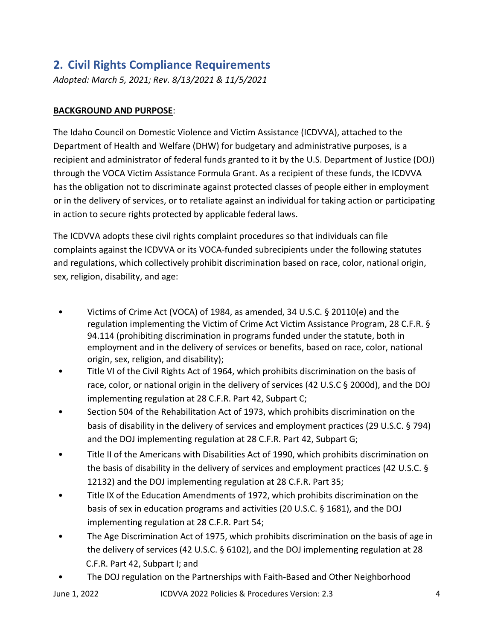# 2. Civil Rights Compliance Requirements

Adopted: March 5, 2021; Rev. 8/13/2021 & 11/5/2021

# BACKGROUND AND PURPOSE:

The Idaho Council on Domestic Violence and Victim Assistance (ICDVVA), attached to the Department of Health and Welfare (DHW) for budgetary and administrative purposes, is a recipient and administrator of federal funds granted to it by the U.S. Department of Justice (DOJ) through the VOCA Victim Assistance Formula Grant. As a recipient of these funds, the ICDVVA has the obligation not to discriminate against protected classes of people either in employment or in the delivery of services, or to retaliate against an individual for taking action or participating in action to secure rights protected by applicable federal laws.

The ICDVVA adopts these civil rights complaint procedures so that individuals can file complaints against the ICDVVA or its VOCA-funded subrecipients under the following statutes and regulations, which collectively prohibit discrimination based on race, color, national origin, sex, religion, disability, and age:

- Victims of Crime Act (VOCA) of 1984, as amended, 34 U.S.C. § 20110(e) and the regulation implementing the Victim of Crime Act Victim Assistance Program, 28 C.F.R. § 94.114 (prohibiting discrimination in programs funded under the statute, both in employment and in the delivery of services or benefits, based on race, color, national origin, sex, religion, and disability);
- Title VI of the Civil Rights Act of 1964, which prohibits discrimination on the basis of race, color, or national origin in the delivery of services (42 U.S.C § 2000d), and the DOJ implementing regulation at 28 C.F.R. Part 42, Subpart C;
- Section 504 of the Rehabilitation Act of 1973, which prohibits discrimination on the basis of disability in the delivery of services and employment practices (29 U.S.C. § 794) and the DOJ implementing regulation at 28 C.F.R. Part 42, Subpart G;
- Title II of the Americans with Disabilities Act of 1990, which prohibits discrimination on the basis of disability in the delivery of services and employment practices (42 U.S.C. § 12132) and the DOJ implementing regulation at 28 C.F.R. Part 35;
- Title IX of the Education Amendments of 1972, which prohibits discrimination on the basis of sex in education programs and activities (20 U.S.C. § 1681), and the DOJ implementing regulation at 28 C.F.R. Part 54;
- The Age Discrimination Act of 1975, which prohibits discrimination on the basis of age in the delivery of services (42 U.S.C. § 6102), and the DOJ implementing regulation at 28 C.F.R. Part 42, Subpart I; and
- The DOJ regulation on the Partnerships with Faith-Based and Other Neighborhood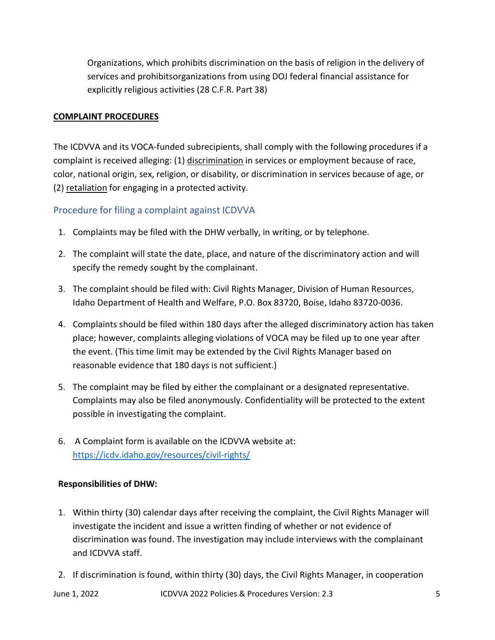Organizations, which prohibits discrimination on the basis of religion in the delivery of services and prohibits organizations from using DOJ federal financial assistance for explicitly religious activities (28 C.F.R. Part 38)

# COMPLAINT PROCEDURES

The ICDVVA and its VOCA-funded subrecipients, shall comply with the following procedures if a complaint is received alleging: (1) discrimination in services or employment because of race, color, national origin, sex, religion, or disability, or discrimination in services because of age, or (2) retaliation for engaging in a protected activity.

# Procedure for filing a complaint against ICDVVA

- 1. Complaints may be filed with the DHW verbally, in writing, or by telephone.
- 2. The complaint will state the date, place, and nature of the discriminatory action and will specify the remedy sought by the complainant.
- 3. The complaint should be filed with: Civil Rights Manager, Division of Human Resources, Idaho Department of Health and Welfare, P.O. Box 83720, Boise, Idaho 83720-0036.
- 4. Complaints should be filed within 180 days after the alleged discriminatory action has taken place; however, complaints alleging violations of VOCA may be filed up to one year after the event. (This time limit may be extended by the Civil Rights Manager based on reasonable evidence that 180 days is not sufficient.)
- 5. The complaint may be filed by either the complainant or a designated representative. Complaints may also be filed anonymously. Confidentiality will be protected to the extent possible in investigating the complaint.
- 6. A Complaint form is available on the ICDVVA website at: https://icdv.idaho.gov/resources/civil-rights/

## Responsibilities of DHW:

- 1. Within thirty (30) calendar days after receiving the complaint, the Civil Rights Manager will investigate the incident and issue a written finding of whether or not evidence of discrimination was found. The investigation may include interviews with the complainant and ICDVVA staff.
- 2. If discrimination is found, within thirty (30) days, the Civil Rights Manager, in cooperation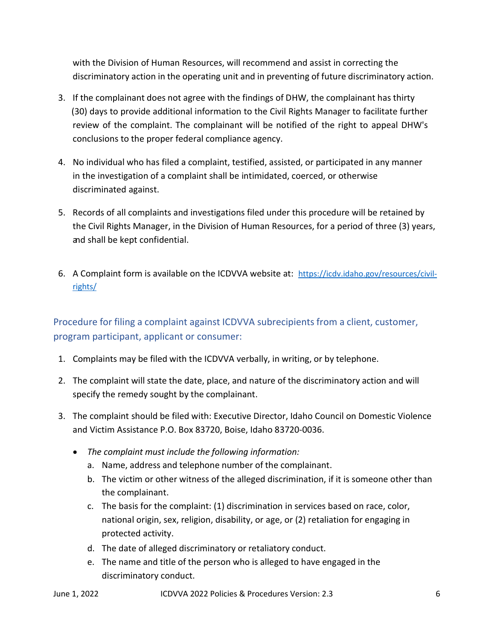with the Division of Human Resources, will recommend and assist in correcting the discriminatory action in the operating unit and in preventing of future discriminatory action.

- 3. If the complainant does not agree with the findings of DHW, the complainant has thirty (30) days to provide additional information to the Civil Rights Manager to facilitate further review of the complaint. The complainant will be notified of the right to appeal DHW's conclusions to the proper federal compliance agency.
- 4. No individual who has filed a complaint, testified, assisted, or participated in any manner in the investigation of a complaint shall be intimidated, coerced, or otherwise discriminated against.
- 5. Records of all complaints and investigations filed under this procedure will be retained by the Civil Rights Manager, in the Division of Human Resources, for a period of three (3) years, and shall be kept confidential.
- 6. A Complaint form is available on the ICDVVA website at: https://icdv.idaho.gov/resources/civilrights/

Procedure for filing a complaint against ICDVVA subrecipients from a client, customer, program participant, applicant or consumer:

- 1. Complaints may be filed with the ICDVVA verbally, in writing, or by telephone.
- 2. The complaint will state the date, place, and nature of the discriminatory action and will specify the remedy sought by the complainant.
- 3. The complaint should be filed with: Executive Director, Idaho Council on Domestic Violence and Victim Assistance P.O. Box 83720, Boise, Idaho 83720-0036.
	- The complaint must include the following information:
		- a. Name, address and telephone number of the complainant.
		- b. The victim or other witness of the alleged discrimination, if it is someone other than the complainant.
		- c. The basis for the complaint: (1) discrimination in services based on race, color, national origin, sex, religion, disability, or age, or (2) retaliation for engaging in protected activity.
		- d. The date of alleged discriminatory or retaliatory conduct.
		- e. The name and title of the person who is alleged to have engaged in the discriminatory conduct.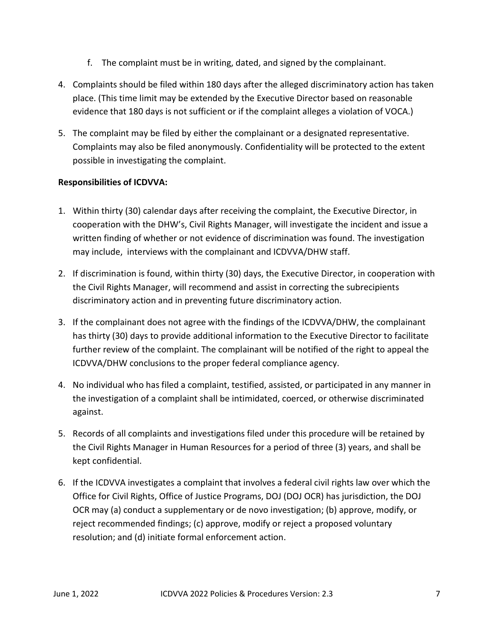- f. The complaint must be in writing, dated, and signed by the complainant.
- 4. Complaints should be filed within 180 days after the alleged discriminatory action has taken place. (This time limit may be extended by the Executive Director based on reasonable evidence that 180 days is not sufficient or if the complaint alleges a violation of VOCA.)
- 5. The complaint may be filed by either the complainant or a designated representative. Complaints may also be filed anonymously. Confidentiality will be protected to the extent possible in investigating the complaint.

# Responsibilities of ICDVVA:

- 1. Within thirty (30) calendar days after receiving the complaint, the Executive Director, in cooperation with the DHW's, Civil Rights Manager, will investigate the incident and issue a written finding of whether or not evidence of discrimination was found. The investigation may include, interviews with the complainant and ICDVVA/DHW staff.
- 2. If discrimination is found, within thirty (30) days, the Executive Director, in cooperation with the Civil Rights Manager, will recommend and assist in correcting the subrecipients discriminatory action and in preventing future discriminatory action.
- 3. If the complainant does not agree with the findings of the ICDVVA/DHW, the complainant has thirty (30) days to provide additional information to the Executive Director to facilitate further review of the complaint. The complainant will be notified of the right to appeal the ICDVVA/DHW conclusions to the proper federal compliance agency.
- 4. No individual who has filed a complaint, testified, assisted, or participated in any manner in the investigation of a complaint shall be intimidated, coerced, or otherwise discriminated against.
- 5. Records of all complaints and investigations filed under this procedure will be retained by the Civil Rights Manager in Human Resources for a period of three (3) years, and shall be kept confidential.
- 6. If the ICDVVA investigates a complaint that involves a federal civil rights law over which the Office for Civil Rights, Office of Justice Programs, DOJ (DOJ OCR) has jurisdiction, the DOJ OCR may (a) conduct a supplementary or de novo investigation; (b) approve, modify, or reject recommended findings; (c) approve, modify or reject a proposed voluntary resolution; and (d) initiate formal enforcement action.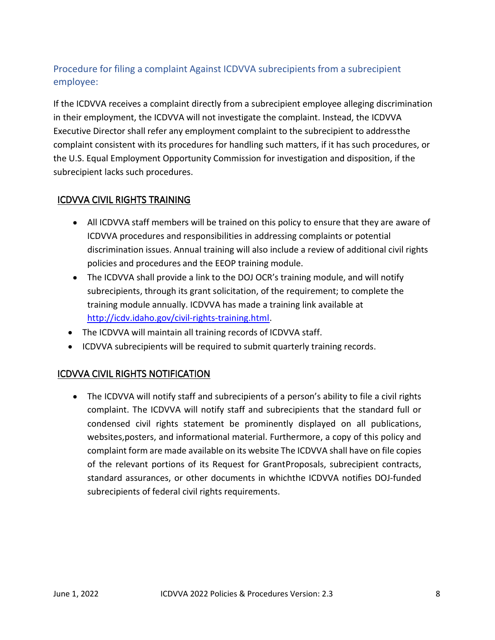# Procedure for filing a complaint Against ICDVVA subrecipients from a subrecipient employee:

If the ICDVVA receives a complaint directly from a subrecipient employee alleging discrimination in their employment, the ICDVVA will not investigate the complaint. Instead, the ICDVVA Executive Director shall refer any employment complaint to the subrecipient to addressthe complaint consistent with its procedures for handling such matters, if it has such procedures, or the U.S. Equal Employment Opportunity Commission for investigation and disposition, if the subrecipient lacks such procedures.

# ICDVVA CIVIL RIGHTS TRAINING

- All ICDVVA staff members will be trained on this policy to ensure that they are aware of ICDVVA procedures and responsibilities in addressing complaints or potential discrimination issues. Annual training will also include a review of additional civil rights policies and procedures and the EEOP training module.
- The ICDVVA shall provide a link to the DOJ OCR's training module, and will notify subrecipients, through its grant solicitation, of the requirement; to complete the training module annually. ICDVVA has made a training link available at http://icdv.idaho.gov/civil-rights-training.html.
- The ICDVVA will maintain all training records of ICDVVA staff.
- ICDVVA subrecipients will be required to submit quarterly training records.

# ICDVVA CIVIL RIGHTS NOTIFICATION

The ICDVVA will notify staff and subrecipients of a person's ability to file a civil rights complaint. The ICDVVA will notify staff and subrecipients that the standard full or condensed civil rights statement be prominently displayed on all publications, websites,posters, and informational material. Furthermore, a copy of this policy and complaint form are made available on its website The ICDVVA shall have on file copies of the relevant portions of its Request for Grant Proposals, subrecipient contracts, standard assurances, or other documents in whichthe ICDVVA notifies DOJ-funded subrecipients of federal civil rights requirements.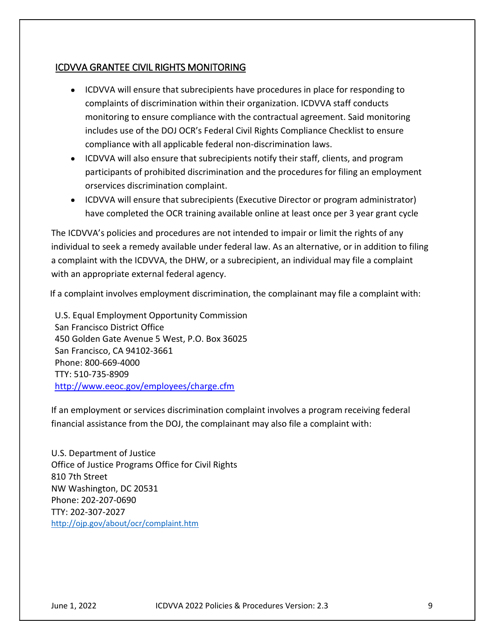# ICDVVA GRANTEE CIVIL RIGHTS MONITORING

- ICDVVA will ensure that subrecipients have procedures in place for responding to complaints of discrimination within their organization. ICDVVA staff conducts monitoring to ensure compliance with the contractual agreement. Said monitoring includes use of the DOJ OCR's Federal Civil Rights Compliance Checklist to ensure compliance with all applicable federal non-discrimination laws.
- ICDVVA will also ensure that subrecipients notify their staff, clients, and program participants of prohibited discrimination and the procedures for filing an employment or services discrimination complaint.
- ICDVVA will ensure that subrecipients (Executive Director or program administrator) have completed the OCR training available online at least once per 3 year grant cycle

The ICDVVA's policies and procedures are not intended to impair or limit the rights of any individual to seek a remedy available under federal law. As an alternative, or in addition to filing a complaint with the ICDVVA, the DHW, or a subrecipient, an individual may file a complaint with an appropriate external federal agency.

If a complaint involves employment discrimination, the complainant may file a complaint with:

U.S. Equal Employment Opportunity Commission San Francisco District Office 450 Golden Gate Avenue 5 West, P.O. Box 36025 San Francisco, CA 94102-3661 Phone: 800-669-4000 TTY: 510-735-8909 http://www.eeoc.gov/employees/charge.cfm

If an employment or services discrimination complaint involves a program receiving federal financial assistance from the DOJ, the complainant may also file a complaint with:

U.S. Department of Justice Office of Justice Programs Office for Civil Rights 810 7th Street NW Washington, DC 20531 Phone: 202-207-0690 TTY: 202-307-2027 http://ojp.gov/about/ocr/complaint.htm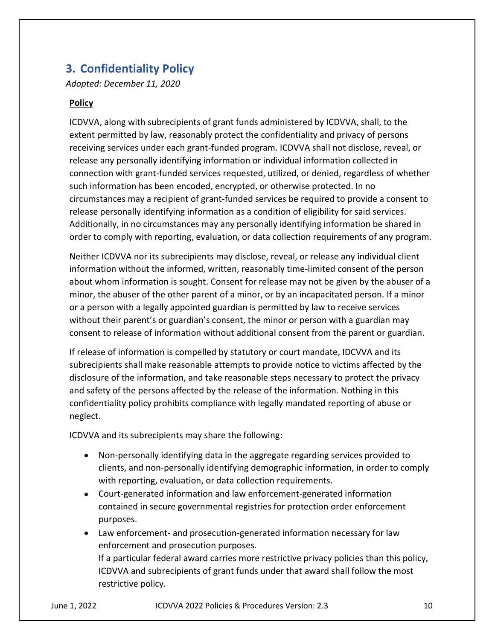# 3. Confidentiality Policy

Adopted: December 11, 2020

# Policy

ICDVVA, along with subrecipients of grant funds administered by ICDVVA, shall, to the extent permitted by law, reasonably protect the confidentiality and privacy of persons receiving services under each grant-funded program. ICDVVA shall not disclose, reveal, or release any personally identifying information or individual information collected in connection with grant-funded services requested, utilized, or denied, regardless of whether such information has been encoded, encrypted, or otherwise protected. In no circumstances may a recipient of grant-funded services be required to provide a consent to release personally identifying information as a condition of eligibility for said services. Additionally, in no circumstances may any personally identifying information be shared in order to comply with reporting, evaluation, or data collection requirements of any program.

Neither ICDVVA nor its subrecipients may disclose, reveal, or release any individual client information without the informed, written, reasonably time-limited consent of the person about whom information is sought. Consent for release may not be given by the abuser of a minor, the abuser of the other parent of a minor, or by an incapacitated person. If a minor or a person with a legally appointed guardian is permitted by law to receive services without their parent's or guardian's consent, the minor or person with a guardian may consent to release of information without additional consent from the parent or guardian.

If release of information is compelled by statutory or court mandate, IDCVVA and its subrecipients shall make reasonable attempts to provide notice to victims affected by the disclosure of the information, and take reasonable steps necessary to protect the privacy and safety of the persons affected by the release of the information. Nothing in this confidentiality policy prohibits compliance with legally mandated reporting of abuse or neglect.

ICDVVA and its subrecipients may share the following:

- Non-personally identifying data in the aggregate regarding services provided to clients, and non-personally identifying demographic information, in order to comply with reporting, evaluation, or data collection requirements.
- Court-generated information and law enforcement-generated information contained in secure governmental registries for protection order enforcement purposes.
- Law enforcement- and prosecution-generated information necessary for law enforcement and prosecution purposes. If a particular federal award carries more restrictive privacy policies than this policy, ICDVVA and subrecipients of grant funds under that award shall follow the most restrictive policy.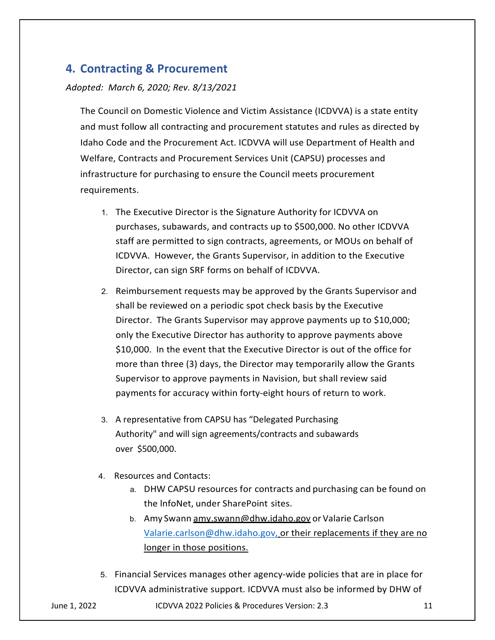# 4. Contracting & Procurement

#### Adopted: March 6, 2020; Rev. 8/13/2021

The Council on Domestic Violence and Victim Assistance (ICDVVA) is a state entity and must follow all contracting and procurement statutes and rules as directed by Idaho Code and the Procurement Act. ICDVVA will use Department of Health and Welfare, Contracts and Procurement Services Unit (CAPSU) processes and infrastructure for purchasing to ensure the Council meets procurement requirements.

- 1. The Executive Director is the Signature Authority for ICDVVA on purchases, subawards, and contracts up to \$500,000. No other ICDVVA staff are permitted to sign contracts, agreements, or MOUs on behalf of ICDVVA. However, the Grants Supervisor, in addition to the Executive Director, can sign SRF forms on behalf of ICDVVA.
- 2. Reimbursement requests may be approved by the Grants Supervisor and shall be reviewed on a periodic spot check basis by the Executive Director. The Grants Supervisor may approve payments up to \$10,000; only the Executive Director has authority to approve payments above \$10,000. In the event that the Executive Director is out of the office for more than three (3) days, the Director may temporarily allow the Grants Supervisor to approve payments in Navision, but shall review said payments for accuracy within forty-eight hours of return to work.
- 3. A representative from CAPSU has "Delegated Purchasing Authority" and will sign agreements/contracts and subawards over \$500,000.
- 4. Resources and Contacts:
	- a. DHW CAPSU resources for contracts and purchasing can be found on the lnfoNet, under SharePoint sites.
	- b. Amy Swann amy.swann@dhw.idaho.gov or Valarie Carlson Valarie.carlson@dhw.idaho.gov, or their replacements if they are no longer in those positions.
- 5. Financial Services manages other agency-wide policies that are in place for ICDVVA administrative support. ICDVVA must also be informed by DHW of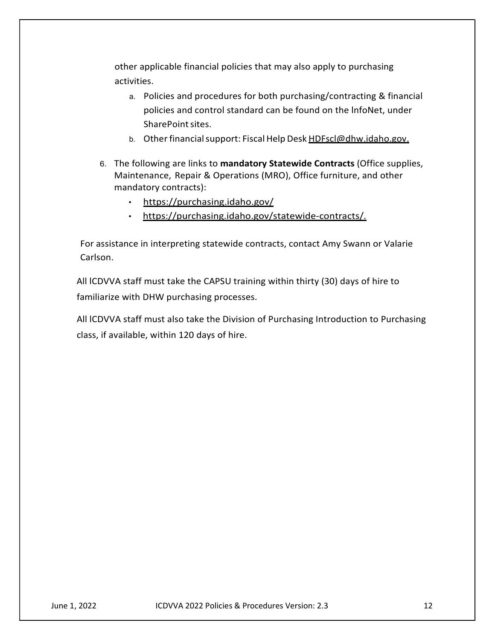other applicable financial policies that may also apply to purchasing activities.

- a. Policies and procedures for both purchasing/contracting & financial policies and control standard can be found on the lnfoNet, under pplicable financial policies that may also apply to purchasing<br>es.<br>Policies and procedures for both purchasing/contracting & financial<br>policies and control standard can be found on the lnfoNet, under<br>SharePoint sites.<br>Othe er applicable financial policies that may also apply to purchasing<br>vities.<br>a. Policies and procedures for both purchasing/contracting & financial<br>policies and control standard can be found on the InfoNet, under<br>SharePoint other applicable financial policies that may also apply to purchasing<br>activities.<br>
a. Policies and procedures for both purchasing/contracting & financial<br>
policies and control standard can be found on the InfoNet, under<br>
S
	-
- 6. The following are links to mandatory Statewide Contracts (Office supplies, mandatory contracts):
	- https://purchasing.idaho.gov/
	- https://purchasing.idaho.gov/statewide-contracts/.

For assistance in interpreting statewide contracts, contact Amy Swann or Valarie Carlson.

All lCDVVA staff must take the CAPSU training within thirty (30) days of hire to familiarize with DHW purchasing processes.

All lCDVVA staff must also take the Division of Purchasing Introduction to Purchasing class, if available, within 120 days of hire.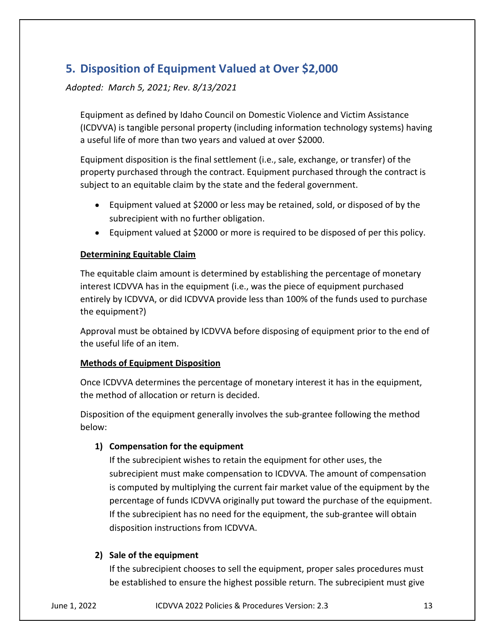# 5. Disposition of Equipment Valued at Over \$2,000

Adopted: March 5, 2021; Rev. 8/13/2021

Equipment as defined by Idaho Council on Domestic Violence and Victim Assistance (ICDVVA) is tangible personal property (including information technology systems) having a useful life of more than two years and valued at over \$2000.

Equipment disposition is the final settlement (i.e., sale, exchange, or transfer) of the property purchased through the contract. Equipment purchased through the contract is subject to an equitable claim by the state and the federal government.

- Equipment valued at \$2000 or less may be retained, sold, or disposed of by the subrecipient with no further obligation.
- Equipment valued at \$2000 or more is required to be disposed of per this policy.

## Determining Equitable Claim

The equitable claim amount is determined by establishing the percentage of monetary interest ICDVVA has in the equipment (i.e., was the piece of equipment purchased entirely by ICDVVA, or did ICDVVA provide less than 100% of the funds used to purchase the equipment?)

Approval must be obtained by ICDVVA before disposing of equipment prior to the end of the useful life of an item.

## Methods of Equipment Disposition

Once ICDVVA determines the percentage of monetary interest it has in the equipment, the method of allocation or return is decided.

Disposition of the equipment generally involves the sub-grantee following the method below:

## 1) Compensation for the equipment

If the subrecipient wishes to retain the equipment for other uses, the subrecipient must make compensation to ICDVVA. The amount of compensation is computed by multiplying the current fair market value of the equipment by the percentage of funds ICDVVA originally put toward the purchase of the equipment. If the subrecipient has no need for the equipment, the sub-grantee will obtain disposition instructions from ICDVVA.

## 2) Sale of the equipment

If the subrecipient chooses to sell the equipment, proper sales procedures must be established to ensure the highest possible return. The subrecipient must give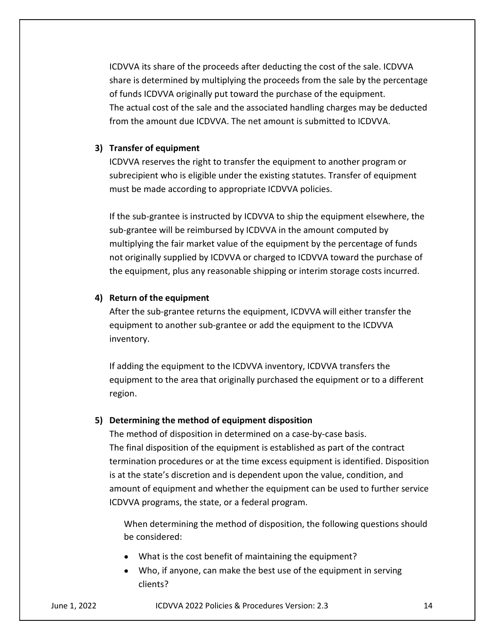ICDVVA its share of the proceeds after deducting the cost of the sale. ICDVVA share is determined by multiplying the proceeds from the sale by the percentage of funds ICDVVA originally put toward the purchase of the equipment. The actual cost of the sale and the associated handling charges may be deducted from the amount due ICDVVA. The net amount is submitted to ICDVVA.

#### 3) Transfer of equipment

ICDVVA reserves the right to transfer the equipment to another program or subrecipient who is eligible under the existing statutes. Transfer of equipment must be made according to appropriate ICDVVA policies.

If the sub-grantee is instructed by ICDVVA to ship the equipment elsewhere, the sub-grantee will be reimbursed by ICDVVA in the amount computed by multiplying the fair market value of the equipment by the percentage of funds not originally supplied by ICDVVA or charged to ICDVVA toward the purchase of the equipment, plus any reasonable shipping or interim storage costs incurred.

#### 4) Return of the equipment

After the sub-grantee returns the equipment, ICDVVA will either transfer the equipment to another sub-grantee or add the equipment to the ICDVVA inventory.

If adding the equipment to the ICDVVA inventory, ICDVVA transfers the equipment to the area that originally purchased the equipment or to a different region.

#### 5) Determining the method of equipment disposition

The method of disposition in determined on a case-by-case basis. The final disposition of the equipment is established as part of the contract termination procedures or at the time excess equipment is identified. Disposition is at the state's discretion and is dependent upon the value, condition, and amount of equipment and whether the equipment can be used to further service ICDVVA programs, the state, or a federal program.

When determining the method of disposition, the following questions should be considered:

- What is the cost benefit of maintaining the equipment?
- Who, if anyone, can make the best use of the equipment in serving clients?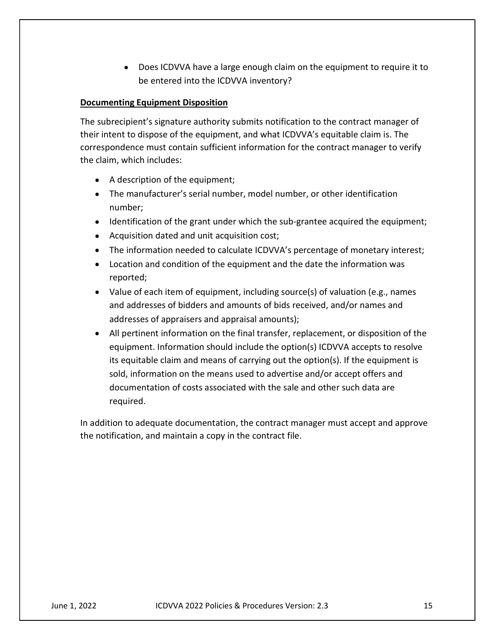Does ICDVVA have a large enough claim on the equipment to require it to be entered into the ICDVVA inventory?

## Documenting Equipment Disposition

The subrecipient's signature authority submits notification to the contract manager of their intent to dispose of the equipment, and what ICDVVA's equitable claim is. The correspondence must contain sufficient information for the contract manager to verify the claim, which includes:

- A description of the equipment;
- The manufacturer's serial number, model number, or other identification number;
- Identification of the grant under which the sub-grantee acquired the equipment;
- Acquisition dated and unit acquisition cost;
- The information needed to calculate ICDVVA's percentage of monetary interest;
- Location and condition of the equipment and the date the information was reported;
- Value of each item of equipment, including source(s) of valuation (e.g., names and addresses of bidders and amounts of bids received, and/or names and addresses of appraisers and appraisal amounts);
- All pertinent information on the final transfer, replacement, or disposition of the equipment. Information should include the option(s) ICDVVA accepts to resolve its equitable claim and means of carrying out the option(s). If the equipment is sold, information on the means used to advertise and/or accept offers and documentation of costs associated with the sale and other such data are required.

In addition to adequate documentation, the contract manager must accept and approve the notification, and maintain a copy in the contract file.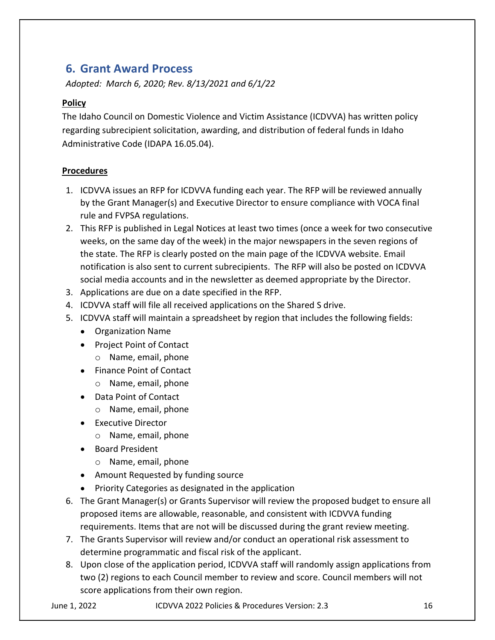# 6. Grant Award Process

Adopted: March 6, 2020; Rev. 8/13/2021 and 6/1/22

# Policy

The Idaho Council on Domestic Violence and Victim Assistance (ICDVVA) has written policy regarding subrecipient solicitation, awarding, and distribution of federal funds in Idaho Administrative Code (IDAPA 16.05.04).

# Procedures

- 1. ICDVVA issues an RFP for ICDVVA funding each year. The RFP will be reviewed annually by the Grant Manager(s) and Executive Director to ensure compliance with VOCA final rule and FVPSA regulations.
- 2. This RFP is published in Legal Notices at least two times (once a week for two consecutive weeks, on the same day of the week) in the major newspapers in the seven regions of the state. The RFP is clearly posted on the main page of the ICDVVA website. Email notification is also sent to current subrecipients. The RFP will also be posted on ICDVVA social media accounts and in the newsletter as deemed appropriate by the Director.
- 3. Applications are due on a date specified in the RFP.
- 4. ICDVVA staff will file all received applications on the Shared S drive.
- 5. ICDVVA staff will maintain a spreadsheet by region that includes the following fields:
	- Organization Name
	- Project Point of Contact
		- o Name, email, phone
	- Finance Point of Contact
		- o Name, email, phone
	- Data Point of Contact
		- o Name, email, phone
	- **•** Executive Director
		- o Name, email, phone
	- Board President
		- o Name, email, phone
	- Amount Requested by funding source
	- Priority Categories as designated in the application
- 6. The Grant Manager(s) or Grants Supervisor will review the proposed budget to ensure all proposed items are allowable, reasonable, and consistent with ICDVVA funding requirements. Items that are not will be discussed during the grant review meeting.
- 7. The Grants Supervisor will review and/or conduct an operational risk assessment to determine programmatic and fiscal risk of the applicant.
- 8. Upon close of the application period, ICDVVA staff will randomly assign applications from two (2) regions to each Council member to review and score. Council members will not score applications from their own region.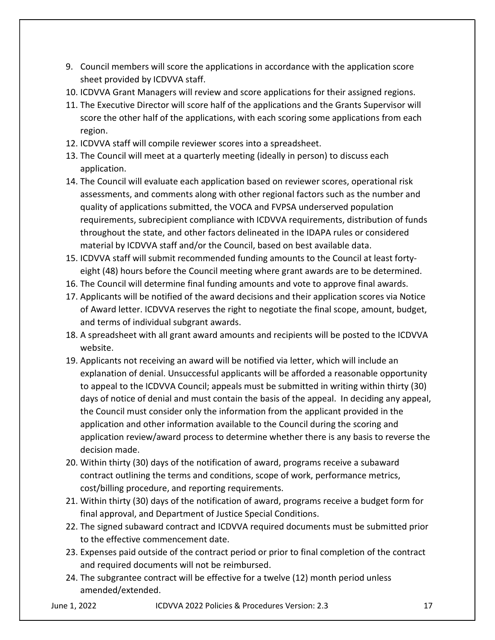- 9. Council members will score the applications in accordance with the application score sheet provided by ICDVVA staff.
- 10. ICDVVA Grant Managers will review and score applications for their assigned regions.
- 11. The Executive Director will score half of the applications and the Grants Supervisor will score the other half of the applications, with each scoring some applications from each region.
- 12. ICDVVA staff will compile reviewer scores into a spreadsheet.
- 13. The Council will meet at a quarterly meeting (ideally in person) to discuss each application.
- 14. The Council will evaluate each application based on reviewer scores, operational risk assessments, and comments along with other regional factors such as the number and quality of applications submitted, the VOCA and FVPSA underserved population requirements, subrecipient compliance with ICDVVA requirements, distribution of funds throughout the state, and other factors delineated in the IDAPA rules or considered material by ICDVVA staff and/or the Council, based on best available data.
- 15. ICDVVA staff will submit recommended funding amounts to the Council at least fortyeight (48) hours before the Council meeting where grant awards are to be determined.
- 16. The Council will determine final funding amounts and vote to approve final awards.
- 17. Applicants will be notified of the award decisions and their application scores via Notice of Award letter. ICDVVA reserves the right to negotiate the final scope, amount, budget, and terms of individual subgrant awards.
- 18. A spreadsheet with all grant award amounts and recipients will be posted to the ICDVVA website.
- 19. Applicants not receiving an award will be notified via letter, which will include an explanation of denial. Unsuccessful applicants will be afforded a reasonable opportunity to appeal to the ICDVVA Council; appeals must be submitted in writing within thirty (30) days of notice of denial and must contain the basis of the appeal. In deciding any appeal, the Council must consider only the information from the applicant provided in the application and other information available to the Council during the scoring and application review/award process to determine whether there is any basis to reverse the decision made.
- 20. Within thirty (30) days of the notification of award, programs receive a subaward contract outlining the terms and conditions, scope of work, performance metrics, cost/billing procedure, and reporting requirements.
- 21. Within thirty (30) days of the notification of award, programs receive a budget form for final approval, and Department of Justice Special Conditions.
- 22. The signed subaward contract and ICDVVA required documents must be submitted prior to the effective commencement date.
- 23. Expenses paid outside of the contract period or prior to final completion of the contract and required documents will not be reimbursed.
- 24. The subgrantee contract will be effective for a twelve (12) month period unless amended/extended.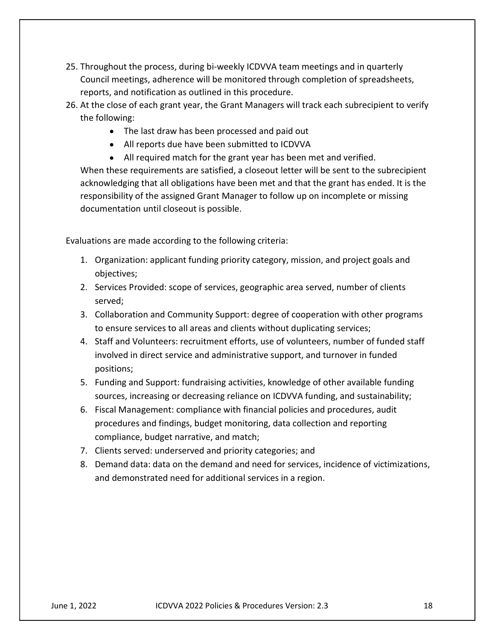- 25. Throughout the process, during bi-weekly ICDVVA team meetings and in quarterly Council meetings, adherence will be monitored through completion of spreadsheets, reports, and notification as outlined in this procedure.
- 26. At the close of each grant year, the Grant Managers will track each subrecipient to verify the following:
	- The last draw has been processed and paid out
	- All reports due have been submitted to ICDVVA
	- All required match for the grant year has been met and verified.

When these requirements are satisfied, a closeout letter will be sent to the subrecipient acknowledging that all obligations have been met and that the grant has ended. It is the responsibility of the assigned Grant Manager to follow up on incomplete or missing documentation until closeout is possible.

Evaluations are made according to the following criteria:

- 1. Organization: applicant funding priority category, mission, and project goals and objectives;
- 2. Services Provided: scope of services, geographic area served, number of clients served;
- 3. Collaboration and Community Support: degree of cooperation with other programs to ensure services to all areas and clients without duplicating services;
- 4. Staff and Volunteers: recruitment efforts, use of volunteers, number of funded staff involved in direct service and administrative support, and turnover in funded positions;
- 5. Funding and Support: fundraising activities, knowledge of other available funding sources, increasing or decreasing reliance on ICDVVA funding, and sustainability;
- 6. Fiscal Management: compliance with financial policies and procedures, audit procedures and findings, budget monitoring, data collection and reporting compliance, budget narrative, and match;
- 7. Clients served: underserved and priority categories; and
- 8. Demand data: data on the demand and need for services, incidence of victimizations, and demonstrated need for additional services in a region.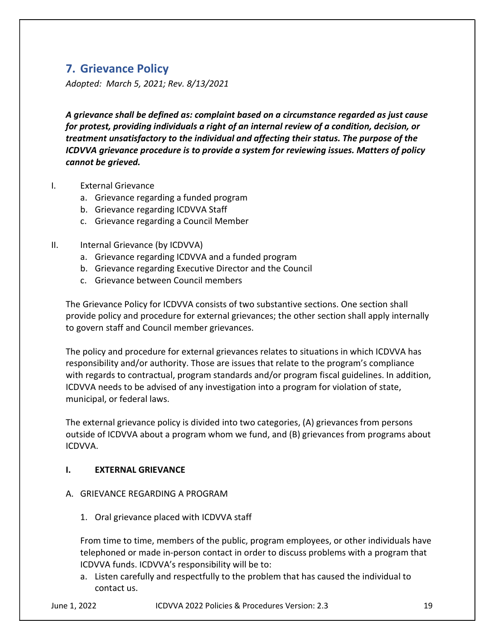# 7. Grievance Policy

Adopted: March 5, 2021; Rev. 8/13/2021

A grievance shall be defined as: complaint based on a circumstance regarded as just cause for protest, providing individuals a right of an internal review of a condition, decision, or treatment unsatisfactory to the individual and affecting their status. The purpose of the ICDVVA grievance procedure is to provide a system for reviewing issues. Matters of policy cannot be grieved.

- I. External Grievance
	- a. Grievance regarding a funded program
	- b. Grievance regarding ICDVVA Staff
	- c. Grievance regarding a Council Member
- II. Internal Grievance (by ICDVVA)
	- a. Grievance regarding ICDVVA and a funded program
	- b. Grievance regarding Executive Director and the Council
	- c. Grievance between Council members

The Grievance Policy for ICDVVA consists of two substantive sections. One section shall provide policy and procedure for external grievances; the other section shall apply internally to govern staff and Council member grievances.

The policy and procedure for external grievances relates to situations in which ICDVVA has responsibility and/or authority. Those are issues that relate to the program's compliance with regards to contractual, program standards and/or program fiscal guidelines. In addition, ICDVVA needs to be advised of any investigation into a program for violation of state, municipal, or federal laws.

The external grievance policy is divided into two categories, (A) grievances from persons outside of ICDVVA about a program whom we fund, and (B) grievances from programs about ICDVVA.

## I. EXTERNAL GRIEVANCE

- A. GRIEVANCE REGARDING A PROGRAM
	- 1. Oral grievance placed with ICDVVA staff

From time to time, members of the public, program employees, or other individuals have telephoned or made in-person contact in order to discuss problems with a program that ICDVVA funds. ICDVVA's responsibility will be to:

a. Listen carefully and respectfully to the problem that has caused the individual to contact us.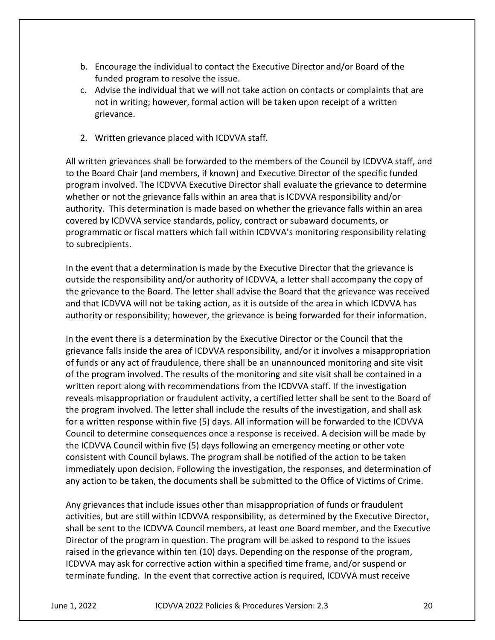- b. Encourage the individual to contact the Executive Director and/or Board of the funded program to resolve the issue.
- c. Advise the individual that we will not take action on contacts or complaints that are not in writing; however, formal action will be taken upon receipt of a written grievance.
- 2. Written grievance placed with ICDVVA staff.

All written grievances shall be forwarded to the members of the Council by ICDVVA staff, and to the Board Chair (and members, if known) and Executive Director of the specific funded program involved. The ICDVVA Executive Director shall evaluate the grievance to determine whether or not the grievance falls within an area that is ICDVVA responsibility and/or authority. This determination is made based on whether the grievance falls within an area covered by ICDVVA service standards, policy, contract or subaward documents, or programmatic or fiscal matters which fall within ICDVVA's monitoring responsibility relating to subrecipients.

In the event that a determination is made by the Executive Director that the grievance is outside the responsibility and/or authority of ICDVVA, a letter shall accompany the copy of the grievance to the Board. The letter shall advise the Board that the grievance was received and that ICDVVA will not be taking action, as it is outside of the area in which ICDVVA has authority or responsibility; however, the grievance is being forwarded for their information.

In the event there is a determination by the Executive Director or the Council that the grievance falls inside the area of ICDVVA responsibility, and/or it involves a misappropriation of funds or any act of fraudulence, there shall be an unannounced monitoring and site visit of the program involved. The results of the monitoring and site visit shall be contained in a written report along with recommendations from the ICDVVA staff. If the investigation reveals misappropriation or fraudulent activity, a certified letter shall be sent to the Board of the program involved. The letter shall include the results of the investigation, and shall ask for a written response within five (5) days. All information will be forwarded to the ICDVVA Council to determine consequences once a response is received. A decision will be made by the ICDVVA Council within five (5) days following an emergency meeting or other vote consistent with Council bylaws. The program shall be notified of the action to be taken immediately upon decision. Following the investigation, the responses, and determination of any action to be taken, the documents shall be submitted to the Office of Victims of Crime.

Any grievances that include issues other than misappropriation of funds or fraudulent activities, but are still within ICDVVA responsibility, as determined by the Executive Director, shall be sent to the ICDVVA Council members, at least one Board member, and the Executive Director of the program in question. The program will be asked to respond to the issues raised in the grievance within ten (10) days. Depending on the response of the program, ICDVVA may ask for corrective action within a specified time frame, and/or suspend or terminate funding. In the event that corrective action is required, ICDVVA must receive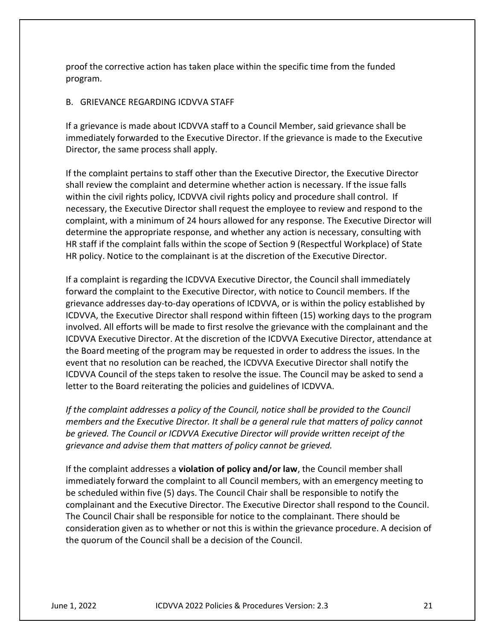proof the corrective action has taken place within the specific time from the funded program.

#### B. GRIEVANCE REGARDING ICDVVA STAFF

If a grievance is made about ICDVVA staff to a Council Member, said grievance shall be immediately forwarded to the Executive Director. If the grievance is made to the Executive Director, the same process shall apply.

If the complaint pertains to staff other than the Executive Director, the Executive Director shall review the complaint and determine whether action is necessary. If the issue falls within the civil rights policy, ICDVVA civil rights policy and procedure shall control. If necessary, the Executive Director shall request the employee to review and respond to the complaint, with a minimum of 24 hours allowed for any response. The Executive Director will determine the appropriate response, and whether any action is necessary, consulting with HR staff if the complaint falls within the scope of Section 9 (Respectful Workplace) of State HR policy. Notice to the complainant is at the discretion of the Executive Director.

If a complaint is regarding the ICDVVA Executive Director, the Council shall immediately forward the complaint to the Executive Director, with notice to Council members. If the grievance addresses day-to-day operations of ICDVVA, or is within the policy established by ICDVVA, the Executive Director shall respond within fifteen (15) working days to the program involved. All efforts will be made to first resolve the grievance with the complainant and the ICDVVA Executive Director. At the discretion of the ICDVVA Executive Director, attendance at the Board meeting of the program may be requested in order to address the issues. In the event that no resolution can be reached, the ICDVVA Executive Director shall notify the ICDVVA Council of the steps taken to resolve the issue. The Council may be asked to send a letter to the Board reiterating the policies and guidelines of ICDVVA.

If the complaint addresses a policy of the Council, notice shall be provided to the Council members and the Executive Director. It shall be a general rule that matters of policy cannot be grieved. The Council or ICDVVA Executive Director will provide written receipt of the grievance and advise them that matters of policy cannot be grieved.

If the complaint addresses a **violation of policy and/or law**, the Council member shall immediately forward the complaint to all Council members, with an emergency meeting to be scheduled within five (5) days. The Council Chair shall be responsible to notify the complainant and the Executive Director. The Executive Director shall respond to the Council. The Council Chair shall be responsible for notice to the complainant. There should be consideration given as to whether or not this is within the grievance procedure. A decision of the quorum of the Council shall be a decision of the Council.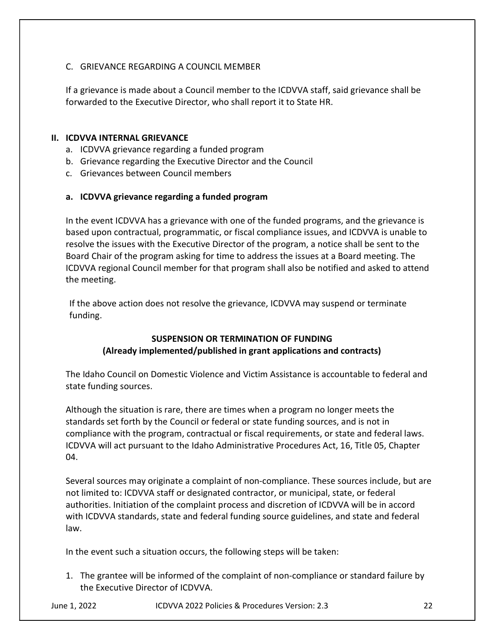## C. GRIEVANCE REGARDING A COUNCIL MEMBER

If a grievance is made about a Council member to the ICDVVA staff, said grievance shall be forwarded to the Executive Director, who shall report it to State HR.

#### II. ICDVVA INTERNAL GRIEVANCE

- a. ICDVVA grievance regarding a funded program
- b. Grievance regarding the Executive Director and the Council
- c. Grievances between Council members

#### a. ICDVVA grievance regarding a funded program

In the event ICDVVA has a grievance with one of the funded programs, and the grievance is based upon contractual, programmatic, or fiscal compliance issues, and ICDVVA is unable to resolve the issues with the Executive Director of the program, a notice shall be sent to the Board Chair of the program asking for time to address the issues at a Board meeting. The ICDVVA regional Council member for that program shall also be notified and asked to attend the meeting.

If the above action does not resolve the grievance, ICDVVA may suspend or terminate funding.

# SUSPENSION OR TERMINATION OF FUNDING (Already implemented/published in grant applications and contracts)

The Idaho Council on Domestic Violence and Victim Assistance is accountable to federal and state funding sources.

Although the situation is rare, there are times when a program no longer meets the standards set forth by the Council or federal or state funding sources, and is not in compliance with the program, contractual or fiscal requirements, or state and federal laws. ICDVVA will act pursuant to the Idaho Administrative Procedures Act, 16, Title 05, Chapter 04.

Several sources may originate a complaint of non-compliance. These sources include, but are not limited to: ICDVVA staff or designated contractor, or municipal, state, or federal authorities. Initiation of the complaint process and discretion of ICDVVA will be in accord with ICDVVA standards, state and federal funding source guidelines, and state and federal law.

In the event such a situation occurs, the following steps will be taken:

1. The grantee will be informed of the complaint of non-compliance or standard failure by the Executive Director of ICDVVA.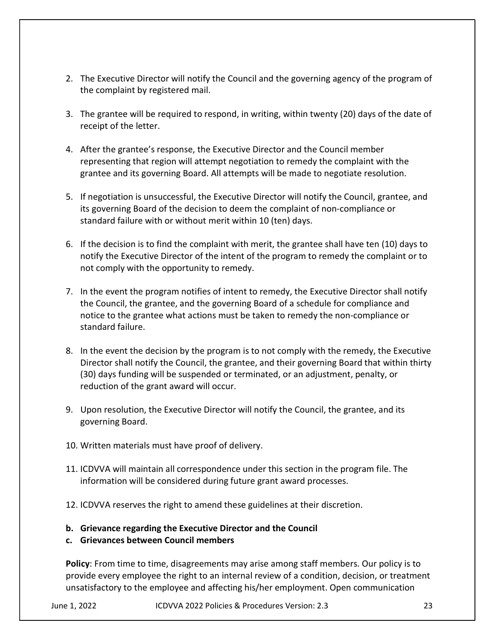- 2. The Executive Director will notify the Council and the governing agency of the program of the complaint by registered mail.
- 3. The grantee will be required to respond, in writing, within twenty (20) days of the date of receipt of the letter.
- 4. After the grantee's response, the Executive Director and the Council member representing that region will attempt negotiation to remedy the complaint with the grantee and its governing Board. All attempts will be made to negotiate resolution.
- 5. If negotiation is unsuccessful, the Executive Director will notify the Council, grantee, and its governing Board of the decision to deem the complaint of non-compliance or standard failure with or without merit within 10 (ten) days.
- 6. If the decision is to find the complaint with merit, the grantee shall have ten (10) days to notify the Executive Director of the intent of the program to remedy the complaint or to not comply with the opportunity to remedy.
- 7. In the event the program notifies of intent to remedy, the Executive Director shall notify the Council, the grantee, and the governing Board of a schedule for compliance and notice to the grantee what actions must be taken to remedy the non-compliance or standard failure.
- 8. In the event the decision by the program is to not comply with the remedy, the Executive Director shall notify the Council, the grantee, and their governing Board that within thirty (30) days funding will be suspended or terminated, or an adjustment, penalty, or reduction of the grant award will occur.
- 9. Upon resolution, the Executive Director will notify the Council, the grantee, and its governing Board.
- 10. Written materials must have proof of delivery.
- 11. ICDVVA will maintain all correspondence under this section in the program file. The information will be considered during future grant award processes.
- 12. ICDVVA reserves the right to amend these guidelines at their discretion.
- b. Grievance regarding the Executive Director and the Council

# c. Grievances between Council members

Policy: From time to time, disagreements may arise among staff members. Our policy is to provide every employee the right to an internal review of a condition, decision, or treatment unsatisfactory to the employee and affecting his/her employment. Open communication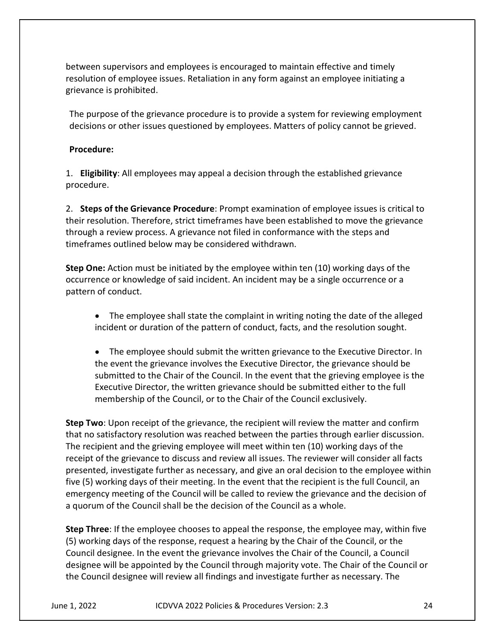between supervisors and employees is encouraged to maintain effective and timely resolution of employee issues. Retaliation in any form against an employee initiating a grievance is prohibited.

The purpose of the grievance procedure is to provide a system for reviewing employment decisions or other issues questioned by employees. Matters of policy cannot be grieved.

#### Procedure:

1. Eligibility: All employees may appeal a decision through the established grievance procedure.

2. Steps of the Grievance Procedure: Prompt examination of employee issues is critical to their resolution. Therefore, strict timeframes have been established to move the grievance through a review process. A grievance not filed in conformance with the steps and timeframes outlined below may be considered withdrawn.

Step One: Action must be initiated by the employee within ten (10) working days of the occurrence or knowledge of said incident. An incident may be a single occurrence or a pattern of conduct.

- The employee shall state the complaint in writing noting the date of the alleged incident or duration of the pattern of conduct, facts, and the resolution sought.
- The employee should submit the written grievance to the Executive Director. In the event the grievance involves the Executive Director, the grievance should be submitted to the Chair of the Council. In the event that the grieving employee is the Executive Director, the written grievance should be submitted either to the full membership of the Council, or to the Chair of the Council exclusively.

Step Two: Upon receipt of the grievance, the recipient will review the matter and confirm that no satisfactory resolution was reached between the parties through earlier discussion. The recipient and the grieving employee will meet within ten (10) working days of the receipt of the grievance to discuss and review all issues. The reviewer will consider all facts presented, investigate further as necessary, and give an oral decision to the employee within five (5) working days of their meeting. In the event that the recipient is the full Council, an emergency meeting of the Council will be called to review the grievance and the decision of a quorum of the Council shall be the decision of the Council as a whole.

Step Three: If the employee chooses to appeal the response, the employee may, within five (5) working days of the response, request a hearing by the Chair of the Council, or the Council designee. In the event the grievance involves the Chair of the Council, a Council designee will be appointed by the Council through majority vote. The Chair of the Council or the Council designee will review all findings and investigate further as necessary. The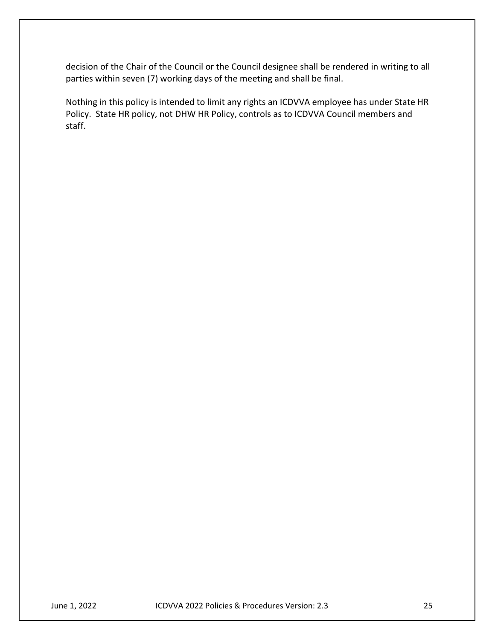decision of the Chair of the Council or the Council designee shall be rendered in writing to all parties within seven (7) working days of the meeting and shall be final.

Nothing in this policy is intended to limit any rights an ICDVVA employee has under State HR Policy. State HR policy, not DHW HR Policy, controls as to ICDVVA Council members and staff.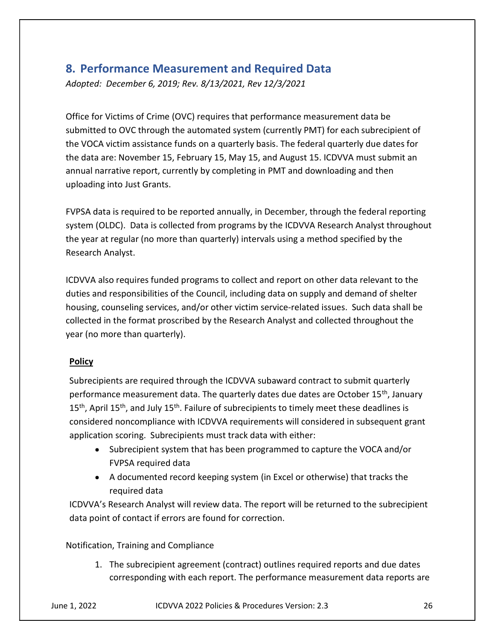# 8. Performance Measurement and Required Data

Adopted: December 6, 2019; Rev. 8/13/2021, Rev 12/3/2021

Office for Victims of Crime (OVC) requires that performance measurement data be submitted to OVC through the automated system (currently PMT) for each subrecipient of the VOCA victim assistance funds on a quarterly basis. The federal quarterly due dates for the data are: November 15, February 15, May 15, and August 15. ICDVVA must submit an annual narrative report, currently by completing in PMT and downloading and then uploading into Just Grants.

FVPSA data is required to be reported annually, in December, through the federal reporting system (OLDC). Data is collected from programs by the ICDVVA Research Analyst throughout the year at regular (no more than quarterly) intervals using a method specified by the Research Analyst.

ICDVVA also requires funded programs to collect and report on other data relevant to the duties and responsibilities of the Council, including data on supply and demand of shelter housing, counseling services, and/or other victim service-related issues. Such data shall be collected in the format proscribed by the Research Analyst and collected throughout the year (no more than quarterly).

# Policy

Subrecipients are required through the ICDVVA subaward contract to submit quarterly performance measurement data. The quarterly dates due dates are October 15th, January  $15<sup>th</sup>$ , April 15<sup>th</sup>, and July 15<sup>th</sup>. Failure of subrecipients to timely meet these deadlines is considered noncompliance with ICDVVA requirements will considered in subsequent grant application scoring. Subrecipients must track data with either:

- Subrecipient system that has been programmed to capture the VOCA and/or FVPSA required data
- A documented record keeping system (in Excel or otherwise) that tracks the required data

ICDVVA's Research Analyst will review data. The report will be returned to the subrecipient data point of contact if errors are found for correction.

Notification, Training and Compliance

1. The subrecipient agreement (contract) outlines required reports and due dates corresponding with each report. The performance measurement data reports are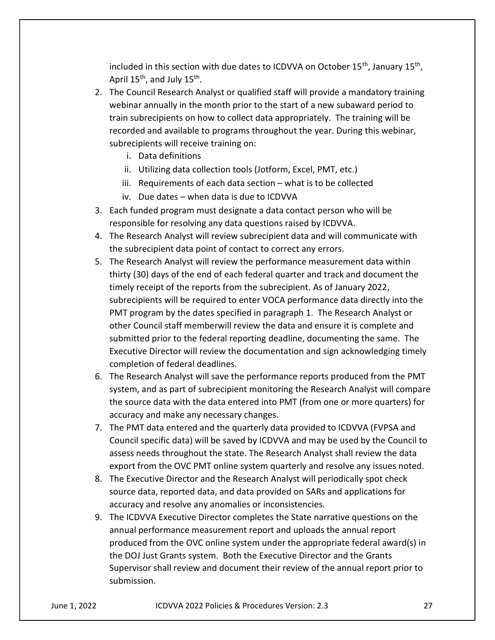included in this section with due dates to ICDVVA on October 15<sup>th</sup>, January 15<sup>th</sup>, April 15<sup>th</sup>, and July 15<sup>th</sup>.

- 2. The Council Research Analyst or qualified staff will provide a mandatory training webinar annually in the month prior to the start of a new subaward period to train subrecipients on how to collect data appropriately. The training will be recorded and available to programs throughout the year. During this webinar, subrecipients will receive training on:
	- i. Data definitions
	- ii. Utilizing data collection tools (Jotform, Excel, PMT, etc.)
	- iii. Requirements of each data section what is to be collected
	- iv. Due dates when data is due to ICDVVA
- 3. Each funded program must designate a data contact person who will be responsible for resolving any data questions raised by ICDVVA.
- 4. The Research Analyst will review subrecipient data and will communicate with the subrecipient data point of contact to correct any errors.
- 5. The Research Analyst will review the performance measurement data within thirty (30) days of the end of each federal quarter and track and document the timely receipt of the reports from the subrecipient. As of January 2022, subrecipients will be required to enter VOCA performance data directly into the PMT program by the dates specified in paragraph 1. The Research Analyst or other Council staff memberwill review the data and ensure it is complete and submitted prior to the federal reporting deadline, documenting the same. The Executive Director will review the documentation and sign acknowledging timely completion of federal deadlines.
- 6. The Research Analyst will save the performance reports produced from the PMT system, and as part of subrecipient monitoring the Research Analyst will compare the source data with the data entered into PMT (from one or more quarters) for accuracy and make any necessary changes.
- 7. The PMT data entered and the quarterly data provided to ICDVVA (FVPSA and Council specific data) will be saved by ICDVVA and may be used by the Council to assess needs throughout the state. The Research Analyst shall review the data export from the OVC PMT online system quarterly and resolve any issues noted.
- 8. The Executive Director and the Research Analyst will periodically spot check source data, reported data, and data provided on SARs and applications for accuracy and resolve any anomalies or inconsistencies.
- 9. The ICDVVA Executive Director completes the State narrative questions on the annual performance measurement report and uploads the annual report produced from the OVC online system under the appropriate federal award(s) in the DOJ Just Grants system. Both the Executive Director and the Grants Supervisor shall review and document their review of the annual report prior to submission.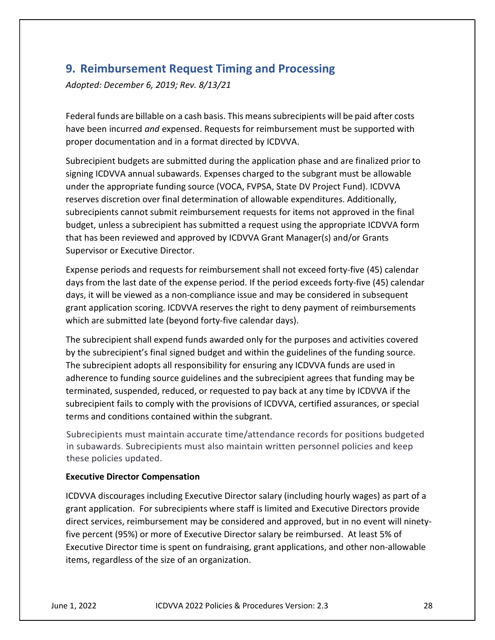# 9. Reimbursement Request Timing and Processing

Adopted: December 6, 2019; Rev. 8/13/21

Federal funds are billable on a cash basis. This means subrecipients will be paid after costs have been incurred and expensed. Requests for reimbursement must be supported with proper documentation and in a format directed by ICDVVA.

Subrecipient budgets are submitted during the application phase and are finalized prior to signing ICDVVA annual subawards. Expenses charged to the subgrant must be allowable under the appropriate funding source (VOCA, FVPSA, State DV Project Fund). ICDVVA reserves discretion over final determination of allowable expenditures. Additionally, subrecipients cannot submit reimbursement requests for items not approved in the final budget, unless a subrecipient has submitted a request using the appropriate ICDVVA form that has been reviewed and approved by ICDVVA Grant Manager(s) and/or Grants Supervisor or Executive Director.

Expense periods and requests for reimbursement shall not exceed forty-five (45) calendar days from the last date of the expense period. If the period exceeds forty-five (45) calendar days, it will be viewed as a non-compliance issue and may be considered in subsequent grant application scoring. ICDVVA reserves the right to deny payment of reimbursements which are submitted late (beyond forty-five calendar days).

The subrecipient shall expend funds awarded only for the purposes and activities covered by the subrecipient's final signed budget and within the guidelines of the funding source. The subrecipient adopts all responsibility for ensuring any ICDVVA funds are used in adherence to funding source guidelines and the subrecipient agrees that funding may be terminated, suspended, reduced, or requested to pay back at any time by ICDVVA if the subrecipient fails to comply with the provisions of ICDVVA, certified assurances, or special terms and conditions contained within the subgrant.

Subrecipients must maintain accurate time/attendance records for positions budgeted in subawards. Subrecipients must also maintain written personnel policies and keep these policies updated.

#### Executive Director Compensation

ICDVVA discourages including Executive Director salary (including hourly wages) as part of a grant application. For subrecipients where staff is limited and Executive Directors provide direct services, reimbursement may be considered and approved, but in no event will ninetyfive percent (95%) or more of Executive Director salary be reimbursed. At least 5% of Executive Director time is spent on fundraising, grant applications, and other non-allowable items, regardless of the size of an organization.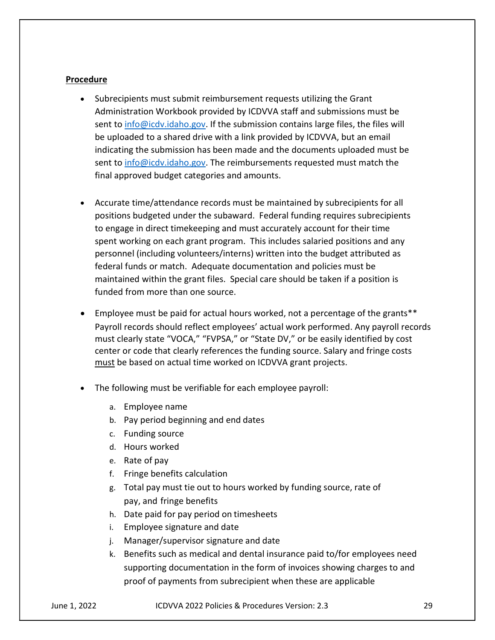#### **Procedure**

- Subrecipients must submit reimbursement requests utilizing the Grant Administration Workbook provided by ICDVVA staff and submissions must be sent to info@icdv.idaho.gov. If the submission contains large files, the files will be uploaded to a shared drive with a link provided by ICDVVA, but an email indicating the submission has been made and the documents uploaded must be sent to info@icdv.idaho.gov. The reimbursements requested must match the final approved budget categories and amounts.
- Accurate time/attendance records must be maintained by subrecipients for all positions budgeted under the subaward. Federal funding requires subrecipients to engage in direct timekeeping and must accurately account for their time spent working on each grant program. This includes salaried positions and any personnel (including volunteers/interns) written into the budget attributed as federal funds or match. Adequate documentation and policies must be maintained within the grant files. Special care should be taken if a position is funded from more than one source.
- Employee must be paid for actual hours worked, not a percentage of the grants\*\* Payroll records should reflect employees' actual work performed. Any payroll records must clearly state "VOCA," "FVPSA," or "State DV," or be easily identified by cost center or code that clearly references the funding source. Salary and fringe costs must be based on actual time worked on ICDVVA grant projects.
- The following must be verifiable for each employee payroll:
	- a. Employee name
	- b. Pay period beginning and end dates
	- c. Funding source
	- d. Hours worked
	- e. Rate of pay
	- f. Fringe benefits calculation
	- g. Total pay must tie out to hours worked by funding source, rate of pay, and fringe benefits
	- h. Date paid for pay period on timesheets
	- i. Employee signature and date
	- j. Manager/supervisor signature and date
	- k. Benefits such as medical and dental insurance paid to/for employees need supporting documentation in the form of invoices showing charges to and proof of payments from subrecipient when these are applicable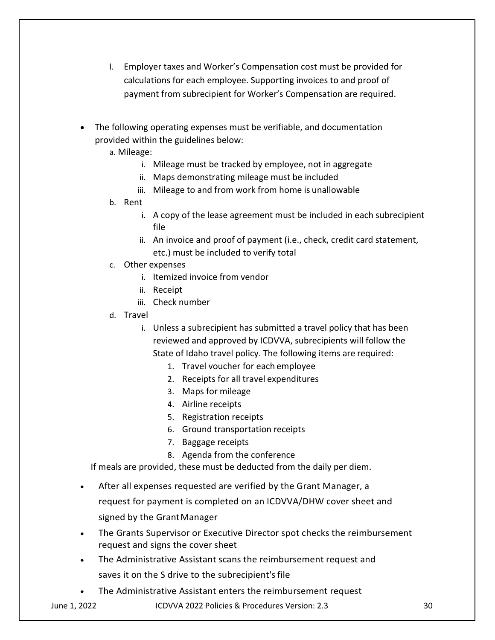- l. Employer taxes and Worker's Compensation cost must be provided for calculations for each employee. Supporting invoices to and proof of payment from subrecipient for Worker's Compensation are required.
- The following operating expenses must be verifiable, and documentation provided within the guidelines below:
	- a. Mileage:
		- i. Mileage must be tracked by employee, not in aggregate
		- ii. Maps demonstrating mileage must be included
		- iii. Mileage to and from work from home is unallowable
	- b. Rent
		- i. A copy of the lease agreement must be included in each subrecipient file
		- ii. An invoice and proof of payment (i.e., check, credit card statement, etc.) must be included to verify total
	- c. Other expenses
		- i. Itemized invoice from vendor
		- ii. Receipt
		- iii. Check number
	- d. Travel
		- i. Unless a subrecipient has submitted a travel policy that has been reviewed and approved by ICDVVA, subrecipients will follow the State of Idaho travel policy. The following items are required:
			- 1. Travel voucher for each employee
			- 2. Receipts for all travel expenditures
			- 3. Maps for mileage
			- 4. Airline receipts
			- 5. Registration receipts
			- 6. Ground transportation receipts
			- 7. Baggage receipts
			- 8. Agenda from the conference

If meals are provided, these must be deducted from the daily per diem.

- After all expenses requested are verified by the Grant Manager, a request for payment is completed on an ICDVVA/DHW cover sheet and signed by the Grant Manager
- The Grants Supervisor or Executive Director spot checks the reimbursement  $\bullet$ request and signs the cover sheet
- The Administrative Assistant scans the reimbursement request and saves it on the S drive to the subrecipient's file
- The Administrative Assistant enters the reimbursement request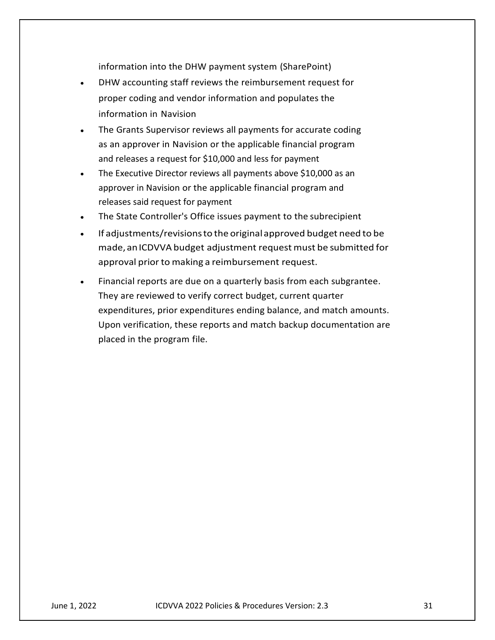- information into the DHW payment system (SharePoint)<br>DHW accounting staff reviews the reimbursement request for<br>proper coding and vendor information and populates the<br>information in Navision DHW accounting staff reviews the reimbursement request for proper coding and vendor information and populates the information into the DHW payment system (SharePoint)<br>DHW accounting staff reviews the reimbursement request for<br>proper coding and vendor information and populates the<br>information in Navision<br>The Grants Supervisor reviews a information into the DHW payment system (SharePoint)<br>DHW accounting staff reviews the reimbursement request for<br>proper coding and vendor information and populates the<br>information in Navision<br>The Grants Supervisor reviews a
- The Grants Supervisor reviews all payments for accurate coding and releases a request for \$10,000 and less for payment
- The Executive Director reviews all payments above \$10,000 as an approver in Navision or the applicable financial program and releases said request for payment
- The State Controller's Office issues payment to the subrecipient  $\bullet$
- If adjustments/revisions to the original approved budget need to be made, an ICDVVA budget adjustment request must be submitted for approval prior to making a reimbursement request.
- Financial reports are due on a quarterly basis from each subgrantee. They are reviewed to verify correct budget, current quarter expenditures, prior expenditures ending balance, and match amounts. Upon verification, these reports and match backup documentation are placed in the program file.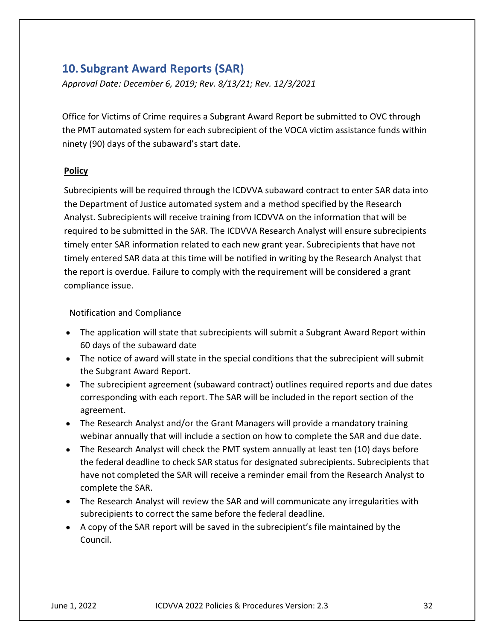# 10. Subgrant Award Reports (SAR)

Approval Date: December 6, 2019; Rev. 8/13/21; Rev. 12/3/2021

Office for Victims of Crime requires a Subgrant Award Report be submitted to OVC through the PMT automated system for each subrecipient of the VOCA victim assistance funds within ninety (90) days of the subaward's start date.

## Policy

Subrecipients will be required through the ICDVVA subaward contract to enter SAR data into the Department of Justice automated system and a method specified by the Research Analyst. Subrecipients will receive training from ICDVVA on the information that will be required to be submitted in the SAR. The ICDVVA Research Analyst will ensure subrecipients timely enter SAR information related to each new grant year. Subrecipients that have not timely entered SAR data at this time will be notified in writing by the Research Analyst that the report is overdue. Failure to comply with the requirement will be considered a grant compliance issue.

## Notification and Compliance

- The application will state that subrecipients will submit a Subgrant Award Report within 60 days of the subaward date
- The notice of award will state in the special conditions that the subrecipient will submit the Subgrant Award Report.
- The subrecipient agreement (subaward contract) outlines required reports and due dates corresponding with each report. The SAR will be included in the report section of the agreement.
- The Research Analyst and/or the Grant Managers will provide a mandatory training webinar annually that will include a section on how to complete the SAR and due date.
- The Research Analyst will check the PMT system annually at least ten (10) days before the federal deadline to check SAR status for designated subrecipients. Subrecipients that have not completed the SAR will receive a reminder email from the Research Analyst to complete the SAR.
- The Research Analyst will review the SAR and will communicate any irregularities with subrecipients to correct the same before the federal deadline.
- A copy of the SAR report will be saved in the subrecipient's file maintained by the Council.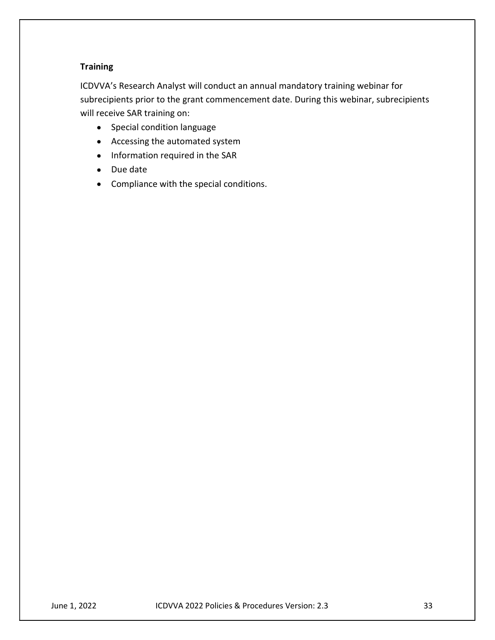# **Training**

ICDVVA's Research Analyst will conduct an annual mandatory training webinar for subrecipients prior to the grant commencement date. During this webinar, subrecipients will receive SAR training on:

- Special condition language
- Accessing the automated system
- Information required in the SAR
- Due date
- Compliance with the special conditions.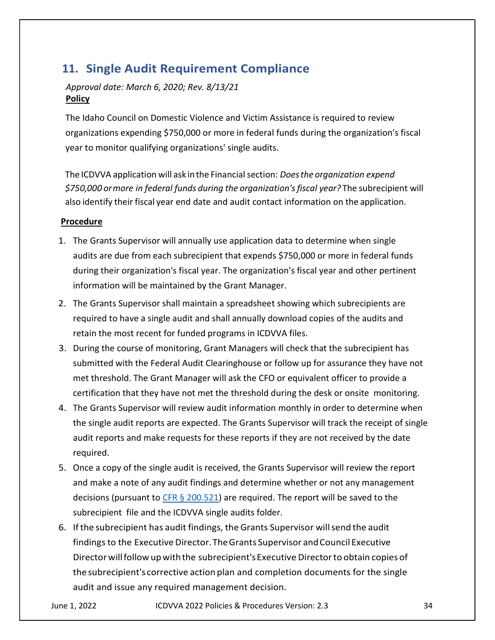# 11. Single Audit Requirement Compliance

# Approval date: March 6, 2020; Rev. 8/13/21 **Policy**

The Idaho Council on Domestic Violence and Victim Assistance is required to review organizations expending \$750,000 or more in federal funds during the organization's fiscal year to monitor qualifying organizations' single audits.

The ICDVVA application will ask in the Financial section: Does the organization expend \$750,000 or more in federal funds during the organization's fiscal year? The subrecipient will also identify their fiscal year end date and audit contact information on the application.

## **Procedure**

- 1. The Grants Supervisor will annually use application data to determine when single audits are due from each subrecipient that expends \$750,000 or more in federal funds during their organization's fiscal year. The organization's fiscal year and other pertinent information will be maintained by the Grant Manager.
- 2. The Grants Supervisor shall maintain a spreadsheet showing which subrecipients are required to have a single audit and shall annually download copies of the audits and retain the most recent for funded programs in ICDVVA files.
- 3. During the course of monitoring, Grant Managers will check that the subrecipient has submitted with the Federal Audit Clearinghouse or follow up for assurance they have not met threshold. The Grant Manager will ask the CFO or equivalent officer to provide a certification that they have not met the threshold during the desk or onsite monitoring.
- 4. The Grants Supervisor will review audit information monthly in order to determine when the single audit reports are expected. The Grants Supervisor will track the receipt of single audit reports and make requests for these reports if they are not received by the date required.
- 5. Once a copy of the single audit is received, the Grants Supervisor will review the report and make a note of any audit findings and determine whether or not any management decisions (pursuant to  $CFR \S 200.521$ ) are required. The report will be saved to the subrecipient file and the ICDVVA single audits folder.
- 6. If the subrecipient has audit findings, the Grants Supervisor will send the audit findings to the Executive Director. The Grants Supervisor and Council Executive Director will follow up with the subrecipient's Executive Director to obtain copies of the subrecipient's corrective action plan and completion documents for the single audit and issue any required management decision.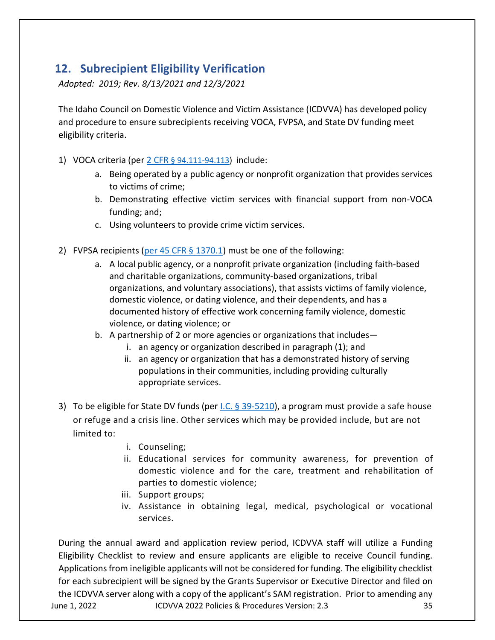# 12. Subrecipient Eligibility Verification

Adopted: 2019; Rev. 8/13/2021 and 12/3/2021

The Idaho Council on Domestic Violence and Victim Assistance (ICDVVA) has developed policy and procedure to ensure subrecipients receiving VOCA, FVPSA, and State DV funding meet eligibility criteria.

- 1) VOCA criteria (per 2 CFR § 94.111-94.113) include:
	- a. Being operated by a public agency or nonprofit organization that provides services to victims of crime;
	- b. Demonstrating effective victim services with financial support from non-VOCA funding; and;
	- c. Using volunteers to provide crime victim services.
- 2) FVPSA recipients (per  $45$  CFR  $\S$  1370.1) must be one of the following:
	- a. A local public agency, or a nonprofit private organization (including faith-based and charitable organizations, community-based organizations, tribal organizations, and voluntary associations), that assists victims of family violence, domestic violence, or dating violence, and their dependents, and has a documented history of effective work concerning family violence, domestic violence, or dating violence; or
	- b. A partnership of 2 or more agencies or organizations that includes
		- i. an agency or organization described in paragraph (1); and
		- ii. an agency or organization that has a demonstrated history of serving populations in their communities, including providing culturally appropriate services.
- 3) To be eligible for State DV funds (per I.C. § 39-5210), a program must provide a safe house or refuge and a crisis line. Other services which may be provided include, but are not limited to:
	- i. Counseling;
	- ii. Educational services for community awareness, for prevention of domestic violence and for the care, treatment and rehabilitation of parties to domestic violence;
	- iii. Support groups;
	- iv. Assistance in obtaining legal, medical, psychological or vocational services.

June 1, 2022 ICDVVA 2022 Policies & Procedures Version: 2.3 35 During the annual award and application review period, ICDVVA staff will utilize a Funding Eligibility Checklist to review and ensure applicants are eligible to receive Council funding. Applications from ineligible applicants will not be considered for funding. The eligibility checklist for each subrecipient will be signed by the Grants Supervisor or Executive Director and filed on the ICDVVA server along with a copy of the applicant's SAM registration. Prior to amending any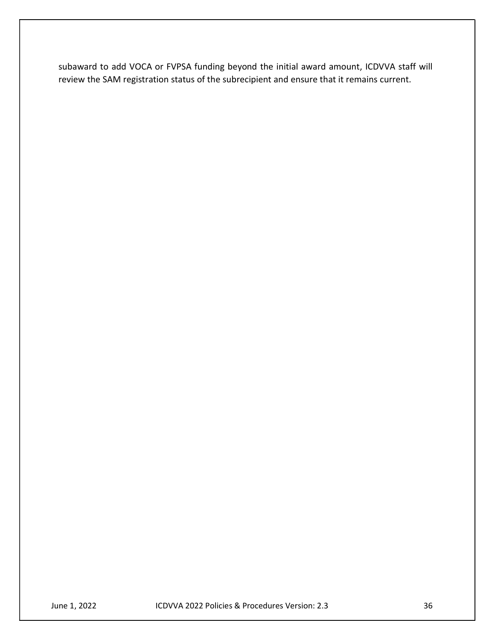subaward to add VOCA or FVPSA funding beyond the initial award amount, ICDVVA staff will review the SAM registration status of the subrecipient and ensure that it remains current.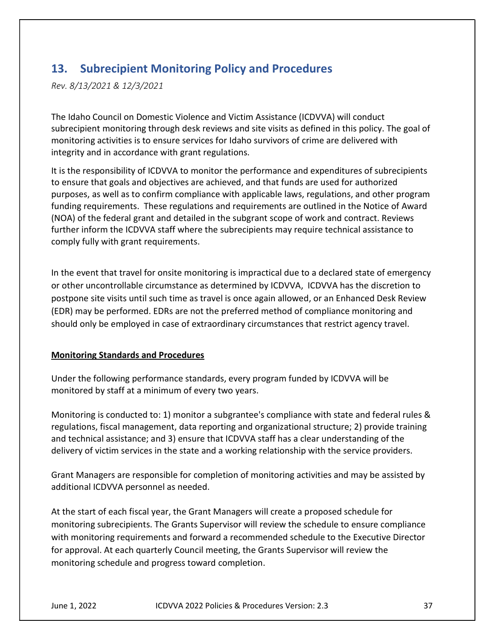# 13. Subrecipient Monitoring Policy and Procedures

Rev. 8/13/2021 & 12/3/2021

The Idaho Council on Domestic Violence and Victim Assistance (ICDVVA) will conduct subrecipient monitoring through desk reviews and site visits as defined in this policy. The goal of monitoring activities is to ensure services for Idaho survivors of crime are delivered with integrity and in accordance with grant regulations.

It is the responsibility of ICDVVA to monitor the performance and expenditures of subrecipients to ensure that goals and objectives are achieved, and that funds are used for authorized purposes, as well as to confirm compliance with applicable laws, regulations, and other program funding requirements. These regulations and requirements are outlined in the Notice of Award (NOA) of the federal grant and detailed in the subgrant scope of work and contract. Reviews further inform the ICDVVA staff where the subrecipients may require technical assistance to comply fully with grant requirements.

In the event that travel for onsite monitoring is impractical due to a declared state of emergency or other uncontrollable circumstance as determined by ICDVVA, ICDVVA has the discretion to postpone site visits until such time as travel is once again allowed, or an Enhanced Desk Review (EDR) may be performed. EDRs are not the preferred method of compliance monitoring and should only be employed in case of extraordinary circumstances that restrict agency travel.

# Monitoring Standards and Procedures

Under the following performance standards, every program funded by ICDVVA will be monitored by staff at a minimum of every two years.

Monitoring is conducted to: 1) monitor a subgrantee's compliance with state and federal rules & regulations, fiscal management, data reporting and organizational structure; 2) provide training and technical assistance; and 3) ensure that ICDVVA staff has a clear understanding of the delivery of victim services in the state and a working relationship with the service providers.

Grant Managers are responsible for completion of monitoring activities and may be assisted by additional ICDVVA personnel as needed.

At the start of each fiscal year, the Grant Managers will create a proposed schedule for monitoring subrecipients. The Grants Supervisor will review the schedule to ensure compliance with monitoring requirements and forward a recommended schedule to the Executive Director for approval. At each quarterly Council meeting, the Grants Supervisor will review the monitoring schedule and progress toward completion.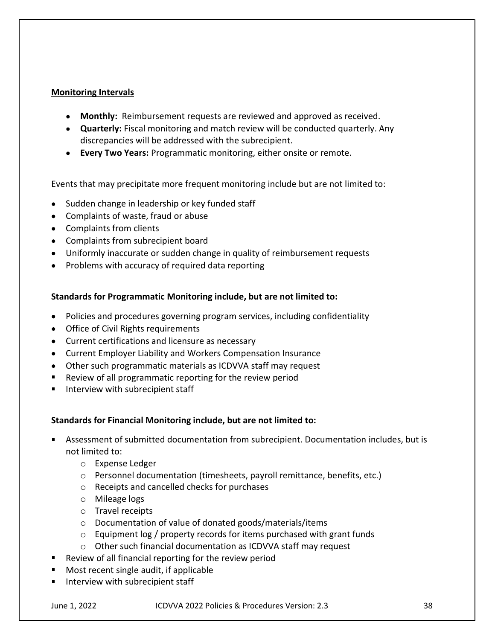## Monitoring Intervals

- Monthly: Reimbursement requests are reviewed and approved as received.
- Quarterly: Fiscal monitoring and match review will be conducted quarterly. Any discrepancies will be addressed with the subrecipient.
- **Every Two Years: Programmatic monitoring, either onsite or remote.**

Events that may precipitate more frequent monitoring include but are not limited to:

- Sudden change in leadership or key funded staff
- Complaints of waste, fraud or abuse
- Complaints from clients
- Complaints from subrecipient board
- Uniformly inaccurate or sudden change in quality of reimbursement requests
- Problems with accuracy of required data reporting

## Standards for Programmatic Monitoring include, but are not limited to:

- Policies and procedures governing program services, including confidentiality
- Office of Civil Rights requirements
- Current certifications and licensure as necessary
- Current Employer Liability and Workers Compensation Insurance
- Other such programmatic materials as ICDVVA staff may request
- **Review of all programmatic reporting for the review period**
- Interview with subrecipient staff

## Standards for Financial Monitoring include, but are not limited to:

- Assessment of submitted documentation from subrecipient. Documentation includes, but is not limited to:
	- o Expense Ledger
	- o Personnel documentation (timesheets, payroll remittance, benefits, etc.)
	- o Receipts and cancelled checks for purchases
	- o Mileage logs
	- o Travel receipts
	- o Documentation of value of donated goods/materials/items
	- $\circ$  Equipment log / property records for items purchased with grant funds
	- o Other such financial documentation as ICDVVA staff may request
- Review of all financial reporting for the review period
- Most recent single audit, if applicable
- Interview with subrecipient staff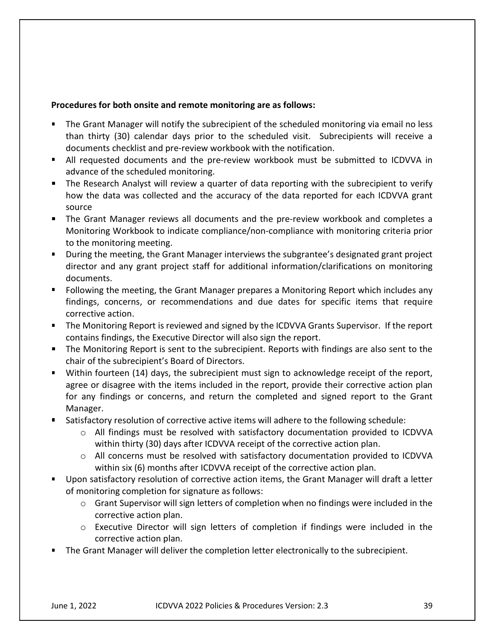#### Procedures for both onsite and remote monitoring are as follows:

- The Grant Manager will notify the subrecipient of the scheduled monitoring via email no less than thirty (30) calendar days prior to the scheduled visit. Subrecipients will receive a documents checklist and pre-review workbook with the notification.
- All requested documents and the pre-review workbook must be submitted to ICDVVA in advance of the scheduled monitoring.
- The Research Analyst will review a quarter of data reporting with the subrecipient to verify how the data was collected and the accuracy of the data reported for each ICDVVA grant source
- The Grant Manager reviews all documents and the pre-review workbook and completes a Monitoring Workbook to indicate compliance/non-compliance with monitoring criteria prior to the monitoring meeting.
- During the meeting, the Grant Manager interviews the subgrantee's designated grant project director and any grant project staff for additional information/clarifications on monitoring documents.
- Following the meeting, the Grant Manager prepares a Monitoring Report which includes any findings, concerns, or recommendations and due dates for specific items that require corrective action.
- The Monitoring Report is reviewed and signed by the ICDVVA Grants Supervisor. If the report contains findings, the Executive Director will also sign the report.
- **The Monitoring Report is sent to the subrecipient. Reports with findings are also sent to the** chair of the subrecipient's Board of Directors.
- Within fourteen (14) days, the subrecipient must sign to acknowledge receipt of the report, agree or disagree with the items included in the report, provide their corrective action plan for any findings or concerns, and return the completed and signed report to the Grant Manager.
- Satisfactory resolution of corrective active items will adhere to the following schedule:
	- $\circ$  All findings must be resolved with satisfactory documentation provided to ICDVVA within thirty (30) days after ICDVVA receipt of the corrective action plan.
	- $\circ$  All concerns must be resolved with satisfactory documentation provided to ICDVVA within six (6) months after ICDVVA receipt of the corrective action plan.
- **Upon satisfactory resolution of corrective action items, the Grant Manager will draft a letter** of monitoring completion for signature as follows:
	- $\circ$  Grant Supervisor will sign letters of completion when no findings were included in the corrective action plan.
	- o Executive Director will sign letters of completion if findings were included in the corrective action plan.
- The Grant Manager will deliver the completion letter electronically to the subrecipient.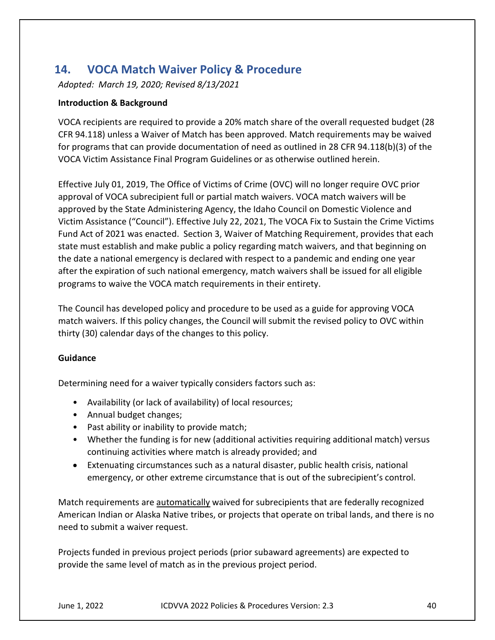# 14. VOCA Match Waiver Policy & Procedure

Adopted: March 19, 2020; Revised 8/13/2021

## Introduction & Background

VOCA recipients are required to provide a 20% match share of the overall requested budget (28 CFR 94.118) unless a Waiver of Match has been approved. Match requirements may be waived for programs that can provide documentation of need as outlined in 28 CFR 94.118(b)(3) of the VOCA Victim Assistance Final Program Guidelines or as otherwise outlined herein.

Effective July 01, 2019, The Office of Victims of Crime (OVC) will no longer require OVC prior approval of VOCA subrecipient full or partial match waivers. VOCA match waivers will be approved by the State Administering Agency, the Idaho Council on Domestic Violence and Victim Assistance ("Council"). Effective July 22, 2021, The VOCA Fix to Sustain the Crime Victims Fund Act of 2021 was enacted. Section 3, Waiver of Matching Requirement, provides that each state must establish and make public a policy regarding match waivers, and that beginning on the date a national emergency is declared with respect to a pandemic and ending one year after the expiration of such national emergency, match waivers shall be issued for all eligible programs to waive the VOCA match requirements in their entirety.

The Council has developed policy and procedure to be used as a guide for approving VOCA match waivers. If this policy changes, the Council will submit the revised policy to OVC within thirty (30) calendar days of the changes to this policy.

## Guidance

Determining need for a waiver typically considers factors such as:

- Availability (or lack of availability) of local resources;
- Annual budget changes;
- Past ability or inability to provide match;
- Whether the funding is for new (additional activities requiring additional match) versus continuing activities where match is already provided; and
- Extenuating circumstances such as a natural disaster, public health crisis, national emergency, or other extreme circumstance that is out of the subrecipient's control.

Match requirements are automatically waived for subrecipients that are federally recognized American Indian or Alaska Native tribes, or projects that operate on tribal lands, and there is no need to submit a waiver request.

Projects funded in previous project periods (prior subaward agreements) are expected to provide the same level of match as in the previous project period.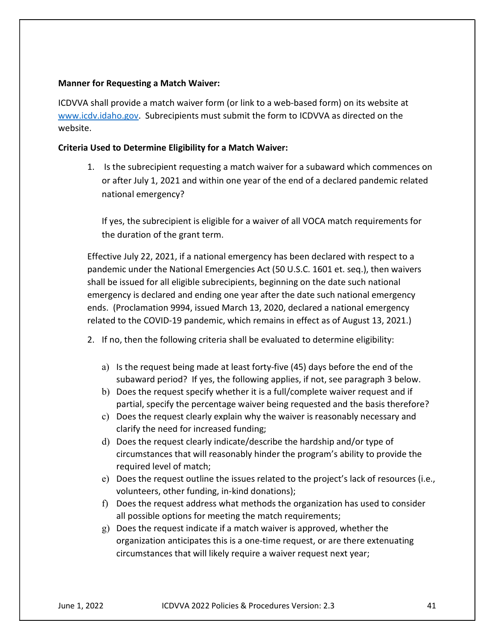#### Manner for Requesting a Match Waiver:

ICDVVA shall provide a match waiver form (or link to a web-based form) on its website at www.icdv.idaho.gov. Subrecipients must submit the form to ICDVVA as directed on the website.

#### Criteria Used to Determine Eligibility for a Match Waiver:

1. Is the subrecipient requesting a match waiver for a subaward which commences on or after July 1, 2021 and within one year of the end of a declared pandemic related national emergency?

If yes, the subrecipient is eligible for a waiver of all VOCA match requirements for the duration of the grant term.

Effective July 22, 2021, if a national emergency has been declared with respect to a pandemic under the National Emergencies Act (50 U.S.C. 1601 et. seq.), then waivers shall be issued for all eligible subrecipients, beginning on the date such national emergency is declared and ending one year after the date such national emergency ends. (Proclamation 9994, issued March 13, 2020, declared a national emergency related to the COVID-19 pandemic, which remains in effect as of August 13, 2021.)

- 2. If no, then the following criteria shall be evaluated to determine eligibility:
	- a) Is the request being made at least forty-five (45) days before the end of the subaward period? If yes, the following applies, if not, see paragraph 3 below.
	- b) Does the request specify whether it is a full/complete waiver request and if partial, specify the percentage waiver being requested and the basis therefore?
	- c) Does the request clearly explain why the waiver is reasonably necessary and clarify the need for increased funding;
	- d) Does the request clearly indicate/describe the hardship and/or type of circumstances that will reasonably hinder the program's ability to provide the required level of match;
	- e) Does the request outline the issues related to the project's lack of resources (i.e., volunteers, other funding, in-kind donations);
	- f) Does the request address what methods the organization has used to consider all possible options for meeting the match requirements;
	- g) Does the request indicate if a match waiver is approved, whether the organization anticipates this is a one-time request, or are there extenuating circumstances that will likely require a waiver request next year;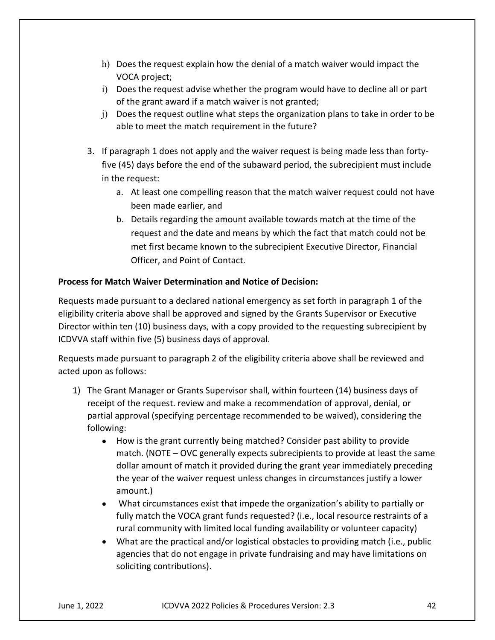- h) Does the request explain how the denial of a match waiver would impact the VOCA project;
- i) Does the request advise whether the program would have to decline all or part of the grant award if a match waiver is not granted;
- j) Does the request outline what steps the organization plans to take in order to be able to meet the match requirement in the future?
- 3. If paragraph 1 does not apply and the waiver request is being made less than fortyfive (45) days before the end of the subaward period, the subrecipient must include in the request:
	- a. At least one compelling reason that the match waiver request could not have been made earlier, and
	- b. Details regarding the amount available towards match at the time of the request and the date and means by which the fact that match could not be met first became known to the subrecipient Executive Director, Financial Officer, and Point of Contact.

# Process for Match Waiver Determination and Notice of Decision:

Requests made pursuant to a declared national emergency as set forth in paragraph 1 of the eligibility criteria above shall be approved and signed by the Grants Supervisor or Executive Director within ten (10) business days, with a copy provided to the requesting subrecipient by ICDVVA staff within five (5) business days of approval.

Requests made pursuant to paragraph 2 of the eligibility criteria above shall be reviewed and acted upon as follows:

- 1) The Grant Manager or Grants Supervisor shall, within fourteen (14) business days of receipt of the request. review and make a recommendation of approval, denial, or partial approval (specifying percentage recommended to be waived), considering the following:
	- $\bullet$ How is the grant currently being matched? Consider past ability to provide match. (NOTE – OVC generally expects subrecipients to provide at least the same dollar amount of match it provided during the grant year immediately preceding the year of the waiver request unless changes in circumstances justify a lower amount.)
	- What circumstances exist that impede the organization's ability to partially or  $\bullet$ fully match the VOCA grant funds requested? (i.e., local resource restraints of a rural community with limited local funding availability or volunteer capacity)
	- What are the practical and/or logistical obstacles to providing match (i.e., public agencies that do not engage in private fundraising and may have limitations on soliciting contributions).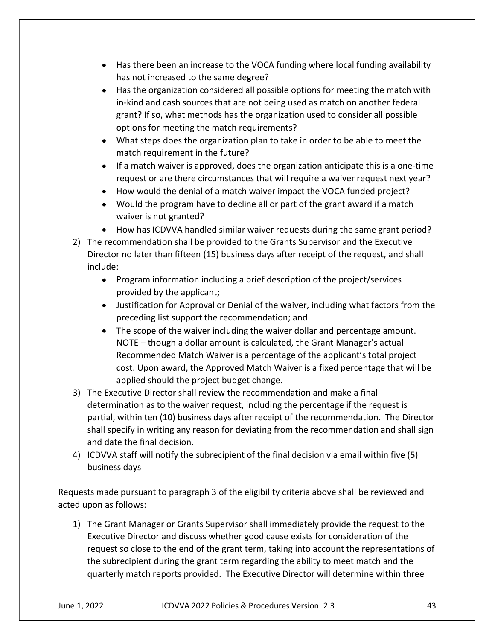- Has there been an increase to the VOCA funding where local funding availability has not increased to the same degree?
- Has the organization considered all possible options for meeting the match with in-kind and cash sources that are not being used as match on another federal grant? If so, what methods has the organization used to consider all possible options for meeting the match requirements?
- What steps does the organization plan to take in order to be able to meet the match requirement in the future?
- $\bullet$  If a match waiver is approved, does the organization anticipate this is a one-time request or are there circumstances that will require a waiver request next year?
- How would the denial of a match waiver impact the VOCA funded project?
- Would the program have to decline all or part of the grant award if a match waiver is not granted?
- How has ICDVVA handled similar waiver requests during the same grant period?
- 2) The recommendation shall be provided to the Grants Supervisor and the Executive Director no later than fifteen (15) business days after receipt of the request, and shall include:
	- Program information including a brief description of the project/services provided by the applicant;
	- Justification for Approval or Denial of the waiver, including what factors from the preceding list support the recommendation; and
	- The scope of the waiver including the waiver dollar and percentage amount. NOTE – though a dollar amount is calculated, the Grant Manager's actual Recommended Match Waiver is a percentage of the applicant's total project cost. Upon award, the Approved Match Waiver is a fixed percentage that will be applied should the project budget change.
- 3) The Executive Director shall review the recommendation and make a final determination as to the waiver request, including the percentage if the request is partial, within ten (10) business days after receipt of the recommendation. The Director shall specify in writing any reason for deviating from the recommendation and shall sign and date the final decision.
- 4) ICDVVA staff will notify the subrecipient of the final decision via email within five (5) business days

Requests made pursuant to paragraph 3 of the eligibility criteria above shall be reviewed and acted upon as follows:

1) The Grant Manager or Grants Supervisor shall immediately provide the request to the Executive Director and discuss whether good cause exists for consideration of the request so close to the end of the grant term, taking into account the representations of the subrecipient during the grant term regarding the ability to meet match and the quarterly match reports provided. The Executive Director will determine within three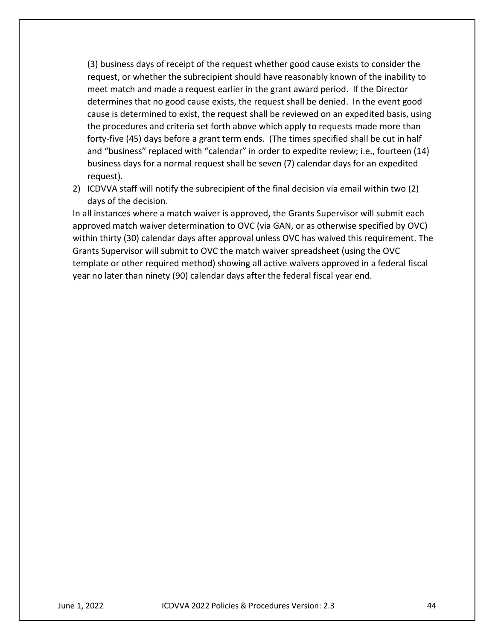(3) business days of receipt of the request whether good cause exists to consider the request, or whether the subrecipient should have reasonably known of the inability to meet match and made a request earlier in the grant award period. If the Director determines that no good cause exists, the request shall be denied. In the event good cause is determined to exist, the request shall be reviewed on an expedited basis, using the procedures and criteria set forth above which apply to requests made more than forty-five (45) days before a grant term ends. (The times specified shall be cut in half and "business" replaced with "calendar" in order to expedite review; i.e., fourteen (14) business days for a normal request shall be seven (7) calendar days for an expedited request).

2) ICDVVA staff will notify the subrecipient of the final decision via email within two (2) days of the decision.

In all instances where a match waiver is approved, the Grants Supervisor will submit each approved match waiver determination to OVC (via GAN, or as otherwise specified by OVC) within thirty (30) calendar days after approval unless OVC has waived this requirement. The Grants Supervisor will submit to OVC the match waiver spreadsheet (using the OVC template or other required method) showing all active waivers approved in a federal fiscal year no later than ninety (90) calendar days after the federal fiscal year end.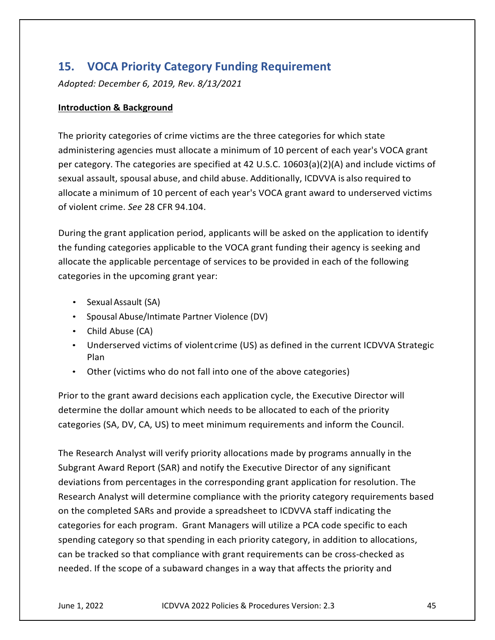# 15. VOCA Priority Category Funding Requirement

Adopted: December 6, 2019, Rev. 8/13/2021

#### Introduction & Background

The priority categories of crime victims are the three categories for which state administering agencies must allocate a minimum of 10 percent of each year's VOCA grant per category. The categories are specified at 42 U.S.C. 10603(a)(2)(A) and include victims of sexual assault, spousal abuse, and child abuse. Additionally, ICDVVA is also required to allocate a minimum of 10 percent of each year's VOCA grant award to underserved victims of violent crime. See 28 CFR 94.104.

During the grant application period, applicants will be asked on the application to identify the funding categories applicable to the VOCA grant funding their agency is seeking and allocate the applicable percentage of services to be provided in each of the following categories in the upcoming grant year: or violent crime. See zo CFN 94.104.<br>
During the grant application period, applicants will be asked on the application to identify<br>
the funding categories applicable to the VOCA grant funding their agency is seeking and<br>
a During the grant application period, applicants will be asked on the application to identify<br>the funding categories applicable to the VOCA grant funding their agency is seeking and<br>allocate the applicable percentage of ser

- Sexual Assault (SA)
- Spousal Abuse/Intimate Partner Violence (DV)
- Child Abuse (CA)
- Underserved victims of violent crime (US) as defined in the current ICDVVA Strategic Plan **Planet Communist Communist Planet**
- Other (victims who do not fall into one of the above categories)

Prior to the grant award decisions each application cycle, the Executive Director will

The Research Analyst will verify priority allocations made by programs annually in the Subgrant Award Report (SAR) and notify the Executive Director of any significant deviations from percentages in the corresponding grant application for resolution. The Research Analyst will determine compliance with the priority category requirements based on the completed SARs and provide a spreadsheet to ICDVVA staff indicating the categories for each program. Grant Managers will utilize a PCA code specific to each spending category so that spending in each priority category, in addition to allocations, can be tracked so that compliance with grant requirements can be cross-checked as needed. If the scope of a subaward changes in a way that affects the priority and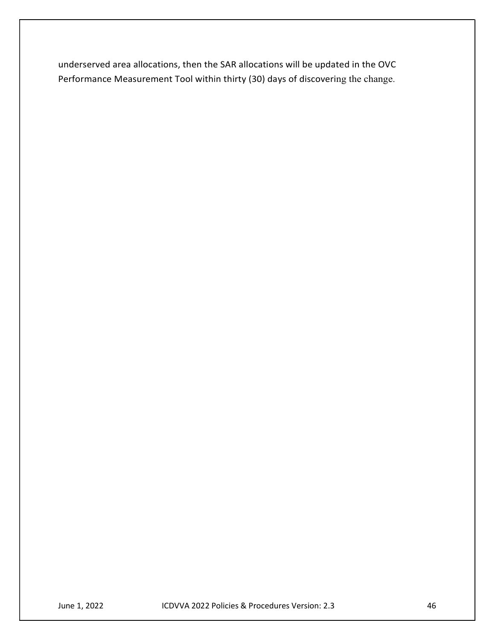underserved area allocations, then the SAR allocations will be updated in the OVC Performance Measurement Tool within thirty (30) days of discovering the change.